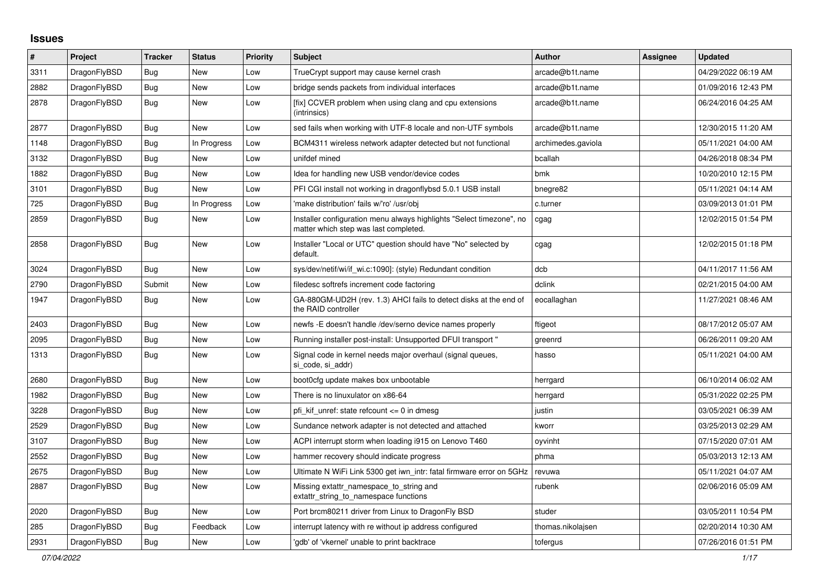## **Issues**

| #    | Project      | <b>Tracker</b> | <b>Status</b> | <b>Priority</b> | <b>Subject</b>                                                                                                | <b>Author</b>      | Assignee | <b>Updated</b>      |
|------|--------------|----------------|---------------|-----------------|---------------------------------------------------------------------------------------------------------------|--------------------|----------|---------------------|
| 3311 | DragonFlyBSD | Bug            | <b>New</b>    | Low             | TrueCrypt support may cause kernel crash                                                                      | arcade@b1t.name    |          | 04/29/2022 06:19 AM |
| 2882 | DragonFlyBSD | <b>Bug</b>     | <b>New</b>    | Low             | bridge sends packets from individual interfaces                                                               | arcade@b1t.name    |          | 01/09/2016 12:43 PM |
| 2878 | DragonFlyBSD | Bug            | New           | Low             | [fix] CCVER problem when using clang and cpu extensions<br>(intrinsics)                                       | arcade@b1t.name    |          | 06/24/2016 04:25 AM |
| 2877 | DragonFlyBSD | Bug            | <b>New</b>    | Low             | sed fails when working with UTF-8 locale and non-UTF symbols                                                  | arcade@b1t.name    |          | 12/30/2015 11:20 AM |
| 1148 | DragonFlyBSD | Bug            | In Progress   | Low             | BCM4311 wireless network adapter detected but not functional                                                  | archimedes.gaviola |          | 05/11/2021 04:00 AM |
| 3132 | DragonFlyBSD | <b>Bug</b>     | <b>New</b>    | Low             | unifdef mined                                                                                                 | bcallah            |          | 04/26/2018 08:34 PM |
| 1882 | DragonFlyBSD | Bug            | <b>New</b>    | Low             | Idea for handling new USB vendor/device codes                                                                 | bmk                |          | 10/20/2010 12:15 PM |
| 3101 | DragonFlyBSD | <b>Bug</b>     | <b>New</b>    | Low             | PFI CGI install not working in dragonflybsd 5.0.1 USB install                                                 | bnegre82           |          | 05/11/2021 04:14 AM |
| 725  | DragonFlyBSD | Bug            | In Progress   | Low             | 'make distribution' fails w/'ro' /usr/obj                                                                     | c.turner           |          | 03/09/2013 01:01 PM |
| 2859 | DragonFlyBSD | <b>Bug</b>     | New           | Low             | Installer configuration menu always highlights "Select timezone", no<br>matter which step was last completed. | cgag               |          | 12/02/2015 01:54 PM |
| 2858 | DragonFlyBSD | Bug            | <b>New</b>    | Low             | Installer "Local or UTC" question should have "No" selected by<br>default.                                    | cgag               |          | 12/02/2015 01:18 PM |
| 3024 | DragonFlyBSD | <b>Bug</b>     | <b>New</b>    | Low             | sys/dev/netif/wi/if wi.c:1090]: (style) Redundant condition                                                   | dcb                |          | 04/11/2017 11:56 AM |
| 2790 | DragonFlyBSD | Submit         | <b>New</b>    | Low             | filedesc softrefs increment code factoring                                                                    | dclink             |          | 02/21/2015 04:00 AM |
| 1947 | DragonFlyBSD | <b>Bug</b>     | <b>New</b>    | Low             | GA-880GM-UD2H (rev. 1.3) AHCI fails to detect disks at the end of<br>the RAID controller                      | eocallaghan        |          | 11/27/2021 08:46 AM |
| 2403 | DragonFlyBSD | Bug            | <b>New</b>    | Low             | newfs -E doesn't handle /dev/serno device names properly                                                      | ftigeot            |          | 08/17/2012 05:07 AM |
| 2095 | DragonFlyBSD | Bug            | <b>New</b>    | Low             | Running installer post-install: Unsupported DFUI transport "                                                  | greenrd            |          | 06/26/2011 09:20 AM |
| 1313 | DragonFlyBSD | <b>Bug</b>     | <b>New</b>    | Low             | Signal code in kernel needs major overhaul (signal queues,<br>si code, si addr)                               | hasso              |          | 05/11/2021 04:00 AM |
| 2680 | DragonFlyBSD | <b>Bug</b>     | <b>New</b>    | Low             | boot0cfg update makes box unbootable                                                                          | herrgard           |          | 06/10/2014 06:02 AM |
| 1982 | DragonFlyBSD | <b>Bug</b>     | <b>New</b>    | Low             | There is no linuxulator on x86-64                                                                             | herrgard           |          | 05/31/2022 02:25 PM |
| 3228 | DragonFlyBSD | Bug            | New           | Low             | pfi kif unref: state refcount $\leq 0$ in dmesg                                                               | justin             |          | 03/05/2021 06:39 AM |
| 2529 | DragonFlyBSD | Bug            | <b>New</b>    | Low             | Sundance network adapter is not detected and attached                                                         | kworr              |          | 03/25/2013 02:29 AM |
| 3107 | DragonFlyBSD | <b>Bug</b>     | <b>New</b>    | Low             | ACPI interrupt storm when loading i915 on Lenovo T460                                                         | oyvinht            |          | 07/15/2020 07:01 AM |
| 2552 | DragonFlyBSD | <b>Bug</b>     | <b>New</b>    | Low             | hammer recovery should indicate progress                                                                      | phma               |          | 05/03/2013 12:13 AM |
| 2675 | DragonFlyBSD | <b>Bug</b>     | <b>New</b>    | Low             | Ultimate N WiFi Link 5300 get iwn_intr: fatal firmware error on 5GHz                                          | revuwa             |          | 05/11/2021 04:07 AM |
| 2887 | DragonFlyBSD | <b>Bug</b>     | <b>New</b>    | Low             | Missing extattr_namespace_to_string and<br>extattr string to namespace functions                              | rubenk             |          | 02/06/2016 05:09 AM |
| 2020 | DragonFlyBSD | Bug            | <b>New</b>    | Low             | Port brcm80211 driver from Linux to DragonFly BSD                                                             | studer             |          | 03/05/2011 10:54 PM |
| 285  | DragonFlyBSD | Bug            | Feedback      | Low             | interrupt latency with re without ip address configured                                                       | thomas.nikolajsen  |          | 02/20/2014 10:30 AM |
| 2931 | DragonFlyBSD | <b>Bug</b>     | New           | Low             | 'gdb' of 'vkernel' unable to print backtrace                                                                  | tofergus           |          | 07/26/2016 01:51 PM |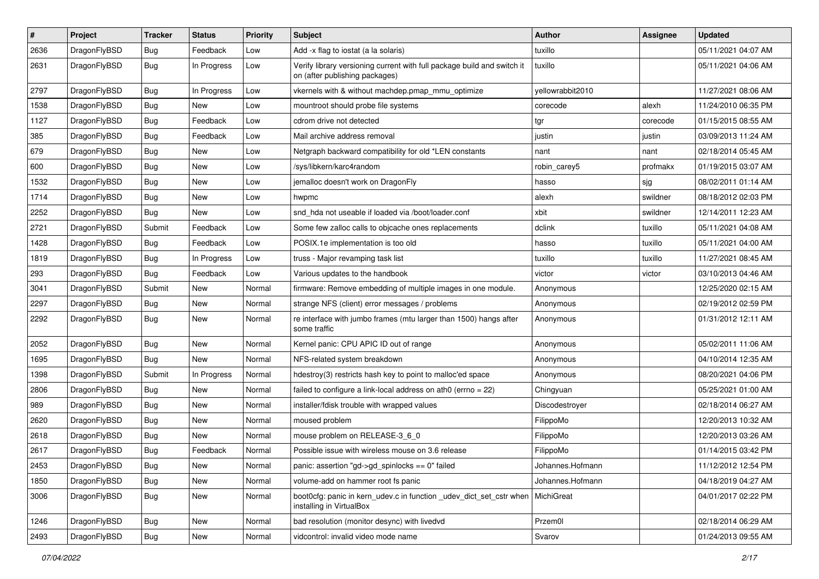| $\vert$ # | Project      | <b>Tracker</b> | <b>Status</b> | <b>Priority</b> | Subject                                                                                                   | Author           | <b>Assignee</b> | <b>Updated</b>      |
|-----------|--------------|----------------|---------------|-----------------|-----------------------------------------------------------------------------------------------------------|------------------|-----------------|---------------------|
| 2636      | DragonFlyBSD | Bug            | Feedback      | Low             | Add -x flag to iostat (a la solaris)                                                                      | tuxillo          |                 | 05/11/2021 04:07 AM |
| 2631      | DragonFlyBSD | Bug            | In Progress   | Low             | Verify library versioning current with full package build and switch it<br>on (after publishing packages) | tuxillo          |                 | 05/11/2021 04:06 AM |
| 2797      | DragonFlyBSD | Bug            | In Progress   | Low             | vkernels with & without machdep.pmap_mmu_optimize                                                         | yellowrabbit2010 |                 | 11/27/2021 08:06 AM |
| 1538      | DragonFlyBSD | <b>Bug</b>     | <b>New</b>    | Low             | mountroot should probe file systems                                                                       | corecode         | alexh           | 11/24/2010 06:35 PM |
| 1127      | DragonFlyBSD | <b>Bug</b>     | Feedback      | Low             | cdrom drive not detected                                                                                  | tgr              | corecode        | 01/15/2015 08:55 AM |
| 385       | DragonFlyBSD | Bug            | Feedback      | Low             | Mail archive address removal                                                                              | justin           | justin          | 03/09/2013 11:24 AM |
| 679       | DragonFlyBSD | Bug            | <b>New</b>    | Low             | Netgraph backward compatibility for old *LEN constants                                                    | nant             | nant            | 02/18/2014 05:45 AM |
| 600       | DragonFlyBSD | <b>Bug</b>     | <b>New</b>    | Low             | /sys/libkern/karc4random                                                                                  | robin carey5     | profmakx        | 01/19/2015 03:07 AM |
| 1532      | DragonFlyBSD | <b>Bug</b>     | <b>New</b>    | Low             | jemalloc doesn't work on DragonFly                                                                        | hasso            | sjg             | 08/02/2011 01:14 AM |
| 1714      | DragonFlyBSD | <b>Bug</b>     | <b>New</b>    | Low             | hwpmc                                                                                                     | alexh            | swildner        | 08/18/2012 02:03 PM |
| 2252      | DragonFlyBSD | Bug            | <b>New</b>    | Low             | snd_hda not useable if loaded via /boot/loader.conf                                                       | xbit             | swildner        | 12/14/2011 12:23 AM |
| 2721      | DragonFlyBSD | Submit         | Feedback      | Low             | Some few zalloc calls to objcache ones replacements                                                       | dclink           | tuxillo         | 05/11/2021 04:08 AM |
| 1428      | DragonFlyBSD | Bug            | Feedback      | Low             | POSIX.1e implementation is too old                                                                        | hasso            | tuxillo         | 05/11/2021 04:00 AM |
| 1819      | DragonFlyBSD | <b>Bug</b>     | In Progress   | Low             | truss - Major revamping task list                                                                         | tuxillo          | tuxillo         | 11/27/2021 08:45 AM |
| 293       | DragonFlyBSD | <b>Bug</b>     | Feedback      | Low             | Various updates to the handbook                                                                           | victor           | victor          | 03/10/2013 04:46 AM |
| 3041      | DragonFlyBSD | Submit         | <b>New</b>    | Normal          | firmware: Remove embedding of multiple images in one module.                                              | Anonymous        |                 | 12/25/2020 02:15 AM |
| 2297      | DragonFlyBSD | Bug            | <b>New</b>    | Normal          | strange NFS (client) error messages / problems                                                            | Anonymous        |                 | 02/19/2012 02:59 PM |
| 2292      | DragonFlyBSD | Bug            | New           | Normal          | re interface with jumbo frames (mtu larger than 1500) hangs after<br>some traffic                         | Anonymous        |                 | 01/31/2012 12:11 AM |
| 2052      | DragonFlyBSD | Bug            | <b>New</b>    | Normal          | Kernel panic: CPU APIC ID out of range                                                                    | Anonymous        |                 | 05/02/2011 11:06 AM |
| 1695      | DragonFlyBSD | <b>Bug</b>     | <b>New</b>    | Normal          | NFS-related system breakdown                                                                              | Anonymous        |                 | 04/10/2014 12:35 AM |
| 1398      | DragonFlyBSD | Submit         | In Progress   | Normal          | hdestroy(3) restricts hash key to point to malloc'ed space                                                | Anonymous        |                 | 08/20/2021 04:06 PM |
| 2806      | DragonFlyBSD | <b>Bug</b>     | <b>New</b>    | Normal          | failed to configure a link-local address on ath0 (errno = 22)                                             | Chingyuan        |                 | 05/25/2021 01:00 AM |
| 989       | DragonFlyBSD | Bug            | New           | Normal          | installer/fdisk trouble with wrapped values                                                               | Discodestroyer   |                 | 02/18/2014 06:27 AM |
| 2620      | DragonFlyBSD | <b>Bug</b>     | <b>New</b>    | Normal          | moused problem                                                                                            | FilippoMo        |                 | 12/20/2013 10:32 AM |
| 2618      | DragonFlyBSD | <b>Bug</b>     | <b>New</b>    | Normal          | mouse problem on RELEASE-3_6_0                                                                            | FilippoMo        |                 | 12/20/2013 03:26 AM |
| 2617      | DragonFlyBSD | <b>Bug</b>     | Feedback      | Normal          | Possible issue with wireless mouse on 3.6 release                                                         | FilippoMo        |                 | 01/14/2015 03:42 PM |
| 2453      | DragonFlyBSD | <b>Bug</b>     | New           | Normal          | panic: assertion "gd->gd_spinlocks == 0" failed                                                           | Johannes.Hofmann |                 | 11/12/2012 12:54 PM |
| 1850      | DragonFlyBSD | <b>Bug</b>     | New           | Normal          | volume-add on hammer root fs panic                                                                        | Johannes.Hofmann |                 | 04/18/2019 04:27 AM |
| 3006      | DragonFlyBSD | <b>Bug</b>     | New           | Normal          | boot0cfg: panic in kern_udev.c in function _udev_dict_set_cstr when<br>installing in VirtualBox           | MichiGreat       |                 | 04/01/2017 02:22 PM |
| 1246      | DragonFlyBSD | <b>Bug</b>     | New           | Normal          | bad resolution (monitor desync) with livedvd                                                              | Przem0l          |                 | 02/18/2014 06:29 AM |
| 2493      | DragonFlyBSD | <b>Bug</b>     | New           | Normal          | vidcontrol: invalid video mode name                                                                       | Svarov           |                 | 01/24/2013 09:55 AM |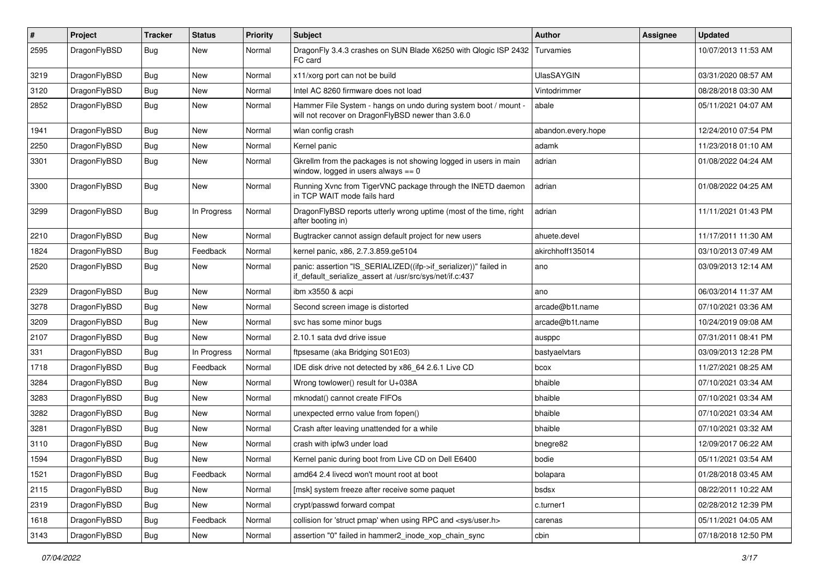| $\pmb{\#}$ | Project      | <b>Tracker</b> | <b>Status</b> | <b>Priority</b> | Subject                                                                                                                      | <b>Author</b>      | <b>Assignee</b> | <b>Updated</b>      |
|------------|--------------|----------------|---------------|-----------------|------------------------------------------------------------------------------------------------------------------------------|--------------------|-----------------|---------------------|
| 2595       | DragonFlyBSD | Bug            | New           | Normal          | DragonFly 3.4.3 crashes on SUN Blade X6250 with Qlogic ISP 2432<br>FC card                                                   | Turvamies          |                 | 10/07/2013 11:53 AM |
| 3219       | DragonFlyBSD | <b>Bug</b>     | <b>New</b>    | Normal          | x11/xorg port can not be build                                                                                               | UlasSAYGIN         |                 | 03/31/2020 08:57 AM |
| 3120       | DragonFlyBSD | Bug            | <b>New</b>    | Normal          | Intel AC 8260 firmware does not load                                                                                         | Vintodrimmer       |                 | 08/28/2018 03:30 AM |
| 2852       | DragonFlyBSD | Bug            | <b>New</b>    | Normal          | Hammer File System - hangs on undo during system boot / mount -<br>will not recover on DragonFlyBSD newer than 3.6.0         | abale              |                 | 05/11/2021 04:07 AM |
| 1941       | DragonFlyBSD | Bug            | <b>New</b>    | Normal          | wlan config crash                                                                                                            | abandon.every.hope |                 | 12/24/2010 07:54 PM |
| 2250       | DragonFlyBSD | Bug            | <b>New</b>    | Normal          | Kernel panic                                                                                                                 | adamk              |                 | 11/23/2018 01:10 AM |
| 3301       | DragonFlyBSD | Bug            | New           | Normal          | Gkrellm from the packages is not showing logged in users in main<br>window, logged in users always $== 0$                    | adrian             |                 | 01/08/2022 04:24 AM |
| 3300       | DragonFlyBSD | Bug            | <b>New</b>    | Normal          | Running Xvnc from TigerVNC package through the INETD daemon<br>in TCP WAIT mode fails hard                                   | adrian             |                 | 01/08/2022 04:25 AM |
| 3299       | DragonFlyBSD | Bug            | In Progress   | Normal          | DragonFlyBSD reports utterly wrong uptime (most of the time, right<br>after booting in)                                      | adrian             |                 | 11/11/2021 01:43 PM |
| 2210       | DragonFlyBSD | Bug            | <b>New</b>    | Normal          | Bugtracker cannot assign default project for new users                                                                       | ahuete.devel       |                 | 11/17/2011 11:30 AM |
| 1824       | DragonFlyBSD | <b>Bug</b>     | Feedback      | Normal          | kernel panic, x86, 2.7.3.859.ge5104                                                                                          | akirchhoff135014   |                 | 03/10/2013 07:49 AM |
| 2520       | DragonFlyBSD | Bug            | New           | Normal          | panic: assertion "IS_SERIALIZED((ifp->if_serializer))" failed in<br>if default serialize assert at /usr/src/sys/net/if.c:437 | ano                |                 | 03/09/2013 12:14 AM |
| 2329       | DragonFlyBSD | <b>Bug</b>     | <b>New</b>    | Normal          | ibm x3550 & acpi                                                                                                             | ano                |                 | 06/03/2014 11:37 AM |
| 3278       | DragonFlyBSD | <b>Bug</b>     | <b>New</b>    | Normal          | Second screen image is distorted                                                                                             | arcade@b1t.name    |                 | 07/10/2021 03:36 AM |
| 3209       | DragonFlyBSD | Bug            | <b>New</b>    | Normal          | svc has some minor bugs                                                                                                      | arcade@b1t.name    |                 | 10/24/2019 09:08 AM |
| 2107       | DragonFlyBSD | Bug            | New           | Normal          | 2.10.1 sata dvd drive issue                                                                                                  | ausppc             |                 | 07/31/2011 08:41 PM |
| 331        | DragonFlyBSD | Bug            | In Progress   | Normal          | ftpsesame (aka Bridging S01E03)                                                                                              | bastyaelvtars      |                 | 03/09/2013 12:28 PM |
| 1718       | DragonFlyBSD | Bug            | Feedback      | Normal          | IDE disk drive not detected by x86_64 2.6.1 Live CD                                                                          | bcox               |                 | 11/27/2021 08:25 AM |
| 3284       | DragonFlyBSD | Bug            | <b>New</b>    | Normal          | Wrong towlower() result for U+038A                                                                                           | bhaible            |                 | 07/10/2021 03:34 AM |
| 3283       | DragonFlyBSD | Bug            | <b>New</b>    | Normal          | mknodat() cannot create FIFOs                                                                                                | bhaible            |                 | 07/10/2021 03:34 AM |
| 3282       | DragonFlyBSD | <b>Bug</b>     | <b>New</b>    | Normal          | unexpected errno value from fopen()                                                                                          | bhaible            |                 | 07/10/2021 03:34 AM |
| 3281       | DragonFlyBSD | Bug            | <b>New</b>    | Normal          | Crash after leaving unattended for a while                                                                                   | bhaible            |                 | 07/10/2021 03:32 AM |
| 3110       | DragonFlyBSD | <b>Bug</b>     | New           | Normal          | crash with ipfw3 under load                                                                                                  | bnegre82           |                 | 12/09/2017 06:22 AM |
| 1594       | DragonFlyBSD | Bug            | New           | Normal          | Kernel panic during boot from Live CD on Dell E6400                                                                          | bodie              |                 | 05/11/2021 03:54 AM |
| 1521       | DragonFlyBSD | Bug            | Feedback      | Normal          | amd64 2.4 livecd won't mount root at boot                                                                                    | bolapara           |                 | 01/28/2018 03:45 AM |
| 2115       | DragonFlyBSD | <b>Bug</b>     | New           | Normal          | [msk] system freeze after receive some paquet                                                                                | bsdsx              |                 | 08/22/2011 10:22 AM |
| 2319       | DragonFlyBSD | <b>Bug</b>     | New           | Normal          | crypt/passwd forward compat                                                                                                  | c.turner1          |                 | 02/28/2012 12:39 PM |
| 1618       | DragonFlyBSD | Bug            | Feedback      | Normal          | collision for 'struct pmap' when using RPC and <sys user.h=""></sys>                                                         | carenas            |                 | 05/11/2021 04:05 AM |
| 3143       | DragonFlyBSD | Bug            | New           | Normal          | assertion "0" failed in hammer2_inode_xop_chain_sync                                                                         | cbin               |                 | 07/18/2018 12:50 PM |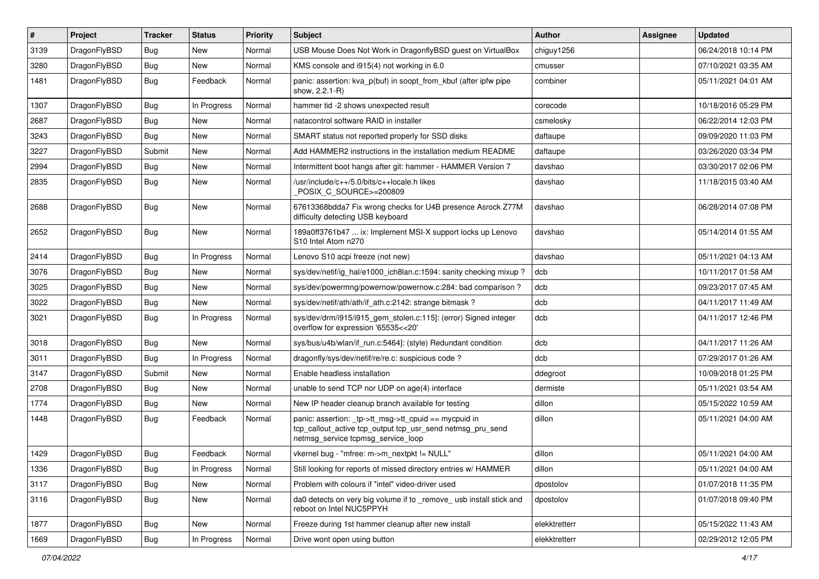| $\vert$ # | Project      | <b>Tracker</b> | <b>Status</b> | <b>Priority</b> | <b>Subject</b>                                                                                                                                            | <b>Author</b> | Assignee | <b>Updated</b>      |
|-----------|--------------|----------------|---------------|-----------------|-----------------------------------------------------------------------------------------------------------------------------------------------------------|---------------|----------|---------------------|
| 3139      | DragonFlyBSD | <b>Bug</b>     | New           | Normal          | USB Mouse Does Not Work in DragonflyBSD guest on VirtualBox                                                                                               | chiguy1256    |          | 06/24/2018 10:14 PM |
| 3280      | DragonFlyBSD | Bug            | <b>New</b>    | Normal          | KMS console and i915(4) not working in 6.0                                                                                                                | cmusser       |          | 07/10/2021 03:35 AM |
| 1481      | DragonFlyBSD | Bug            | Feedback      | Normal          | panic: assertion: kva_p(buf) in soopt_from_kbuf (after ipfw pipe<br>show, 2.2.1-R)                                                                        | combiner      |          | 05/11/2021 04:01 AM |
| 1307      | DragonFlyBSD | Bug            | In Progress   | Normal          | hammer tid -2 shows unexpected result                                                                                                                     | corecode      |          | 10/18/2016 05:29 PM |
| 2687      | DragonFlyBSD | <b>Bug</b>     | New           | Normal          | natacontrol software RAID in installer                                                                                                                    | csmelosky     |          | 06/22/2014 12:03 PM |
| 3243      | DragonFlyBSD | Bug            | <b>New</b>    | Normal          | SMART status not reported properly for SSD disks                                                                                                          | daftaupe      |          | 09/09/2020 11:03 PM |
| 3227      | DragonFlyBSD | Submit         | New           | Normal          | Add HAMMER2 instructions in the installation medium README                                                                                                | daftaupe      |          | 03/26/2020 03:34 PM |
| 2994      | DragonFlyBSD | Bug            | New           | Normal          | Intermittent boot hangs after git: hammer - HAMMER Version 7                                                                                              | davshao       |          | 03/30/2017 02:06 PM |
| 2835      | DragonFlyBSD | Bug            | New           | Normal          | /usr/include/c++/5.0/bits/c++locale.h likes<br>POSIX C_SOURCE>=200809                                                                                     | davshao       |          | 11/18/2015 03:40 AM |
| 2688      | DragonFlyBSD | Bug            | New           | Normal          | 67613368bdda7 Fix wrong checks for U4B presence Asrock Z77M<br>difficulty detecting USB keyboard                                                          | davshao       |          | 06/28/2014 07:08 PM |
| 2652      | DragonFlyBSD | Bug            | <b>New</b>    | Normal          | 189a0ff3761b47  ix: Implement MSI-X support locks up Lenovo<br>S10 Intel Atom n270                                                                        | davshao       |          | 05/14/2014 01:55 AM |
| 2414      | DragonFlyBSD | <b>Bug</b>     | In Progress   | Normal          | Lenovo S10 acpi freeze (not new)                                                                                                                          | davshao       |          | 05/11/2021 04:13 AM |
| 3076      | DragonFlyBSD | Bug            | New           | Normal          | sys/dev/netif/ig hal/e1000 ich8lan.c:1594: sanity checking mixup?                                                                                         | dcb           |          | 10/11/2017 01:58 AM |
| 3025      | DragonFlyBSD | Bug            | <b>New</b>    | Normal          | sys/dev/powermng/powernow/powernow.c:284: bad comparison?                                                                                                 | dcb           |          | 09/23/2017 07:45 AM |
| 3022      | DragonFlyBSD | <b>Bug</b>     | New           | Normal          | sys/dev/netif/ath/ath/if_ath.c:2142: strange bitmask?                                                                                                     | dcb           |          | 04/11/2017 11:49 AM |
| 3021      | DragonFlyBSD | Bug            | In Progress   | Normal          | sys/dev/drm/i915/i915_gem_stolen.c:115]: (error) Signed integer<br>overflow for expression '65535<<20'                                                    | dcb           |          | 04/11/2017 12:46 PM |
| 3018      | DragonFlyBSD | Bug            | New           | Normal          | sys/bus/u4b/wlan/if run.c:5464]: (style) Redundant condition                                                                                              | dcb           |          | 04/11/2017 11:26 AM |
| 3011      | DragonFlyBSD | Bug            | In Progress   | Normal          | dragonfly/sys/dev/netif/re/re.c: suspicious code?                                                                                                         | dcb           |          | 07/29/2017 01:26 AM |
| 3147      | DragonFlyBSD | Submit         | New           | Normal          | Enable headless installation                                                                                                                              | ddegroot      |          | 10/09/2018 01:25 PM |
| 2708      | DragonFlyBSD | Bug            | New           | Normal          | unable to send TCP nor UDP on age(4) interface                                                                                                            | dermiste      |          | 05/11/2021 03:54 AM |
| 1774      | DragonFlyBSD | Bug            | New           | Normal          | New IP header cleanup branch available for testing                                                                                                        | dillon        |          | 05/15/2022 10:59 AM |
| 1448      | DragonFlyBSD | Bug            | Feedback      | Normal          | panic: assertion: _tp->tt_msg->tt_cpuid == mycpuid in<br>tcp_callout_active tcp_output tcp_usr_send netmsg_pru_send<br>netmsg_service tcpmsg_service_loop | dillon        |          | 05/11/2021 04:00 AM |
| 1429      | DragonFlyBSD | Bug            | Feedback      | Normal          | vkernel bug - "mfree: m->m_nextpkt != NULL"                                                                                                               | dillon        |          | 05/11/2021 04:00 AM |
| 1336      | DragonFlyBSD | <b>Bug</b>     | In Progress   | Normal          | Still looking for reports of missed directory entries w/ HAMMER                                                                                           | dillon        |          | 05/11/2021 04:00 AM |
| 3117      | DragonFlyBSD | Bug            | New           | Normal          | Problem with colours if "intel" video-driver used                                                                                                         | dpostolov     |          | 01/07/2018 11:35 PM |
| 3116      | DragonFlyBSD | <b>Bug</b>     | New           | Normal          | da0 detects on very big volume if to _remove_ usb install stick and<br>reboot on Intel NUC5PPYH                                                           | dpostolov     |          | 01/07/2018 09:40 PM |
| 1877      | DragonFlyBSD | Bug            | New           | Normal          | Freeze during 1st hammer cleanup after new install                                                                                                        | elekktretterr |          | 05/15/2022 11:43 AM |
| 1669      | DragonFlyBSD | <b>Bug</b>     | In Progress   | Normal          | Drive wont open using button                                                                                                                              | elekktretterr |          | 02/29/2012 12:05 PM |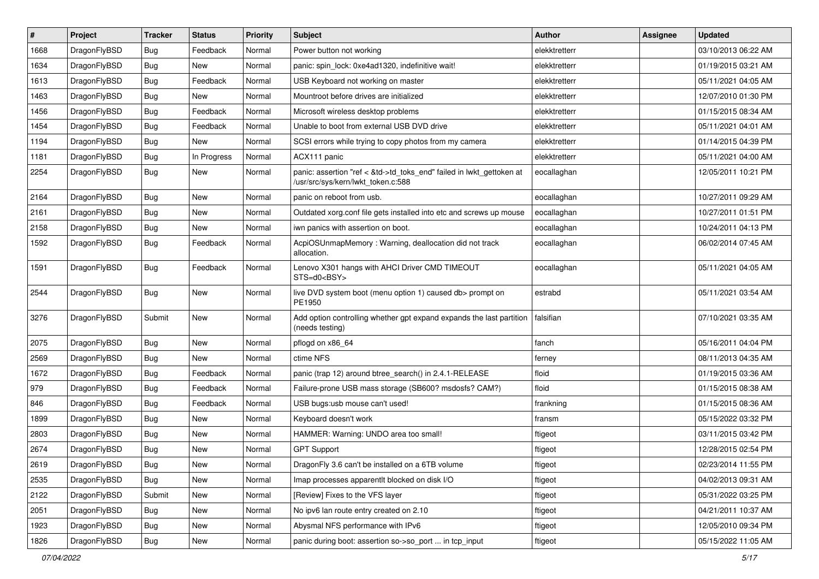| $\sharp$ | Project      | <b>Tracker</b> | <b>Status</b> | <b>Priority</b> | Subject                                                                                                    | Author        | Assignee | <b>Updated</b>      |
|----------|--------------|----------------|---------------|-----------------|------------------------------------------------------------------------------------------------------------|---------------|----------|---------------------|
| 1668     | DragonFlyBSD | <b>Bug</b>     | Feedback      | Normal          | Power button not working                                                                                   | elekktretterr |          | 03/10/2013 06:22 AM |
| 1634     | DragonFlyBSD | Bug            | New           | Normal          | panic: spin lock: 0xe4ad1320, indefinitive wait!                                                           | elekktretterr |          | 01/19/2015 03:21 AM |
| 1613     | DragonFlyBSD | <b>Bug</b>     | Feedback      | Normal          | USB Keyboard not working on master                                                                         | elekktretterr |          | 05/11/2021 04:05 AM |
| 1463     | DragonFlyBSD | <b>Bug</b>     | New           | Normal          | Mountroot before drives are initialized                                                                    | elekktretterr |          | 12/07/2010 01:30 PM |
| 1456     | DragonFlyBSD | Bug            | Feedback      | Normal          | Microsoft wireless desktop problems                                                                        | elekktretterr |          | 01/15/2015 08:34 AM |
| 1454     | DragonFlyBSD | <b>Bug</b>     | Feedback      | Normal          | Unable to boot from external USB DVD drive                                                                 | elekktretterr |          | 05/11/2021 04:01 AM |
| 1194     | DragonFlyBSD | Bug            | <b>New</b>    | Normal          | SCSI errors while trying to copy photos from my camera                                                     | elekktretterr |          | 01/14/2015 04:39 PM |
| 1181     | DragonFlyBSD | <b>Bug</b>     | In Progress   | Normal          | ACX111 panic                                                                                               | elekktretterr |          | 05/11/2021 04:00 AM |
| 2254     | DragonFlyBSD | <b>Bug</b>     | New           | Normal          | panic: assertion "ref < &td->td_toks_end" failed in lwkt_gettoken at<br>/usr/src/sys/kern/lwkt_token.c:588 | eocallaghan   |          | 12/05/2011 10:21 PM |
| 2164     | DragonFlyBSD | Bug            | New           | Normal          | panic on reboot from usb.                                                                                  | eocallaghan   |          | 10/27/2011 09:29 AM |
| 2161     | DragonFlyBSD | <b>Bug</b>     | New           | Normal          | Outdated xorg.conf file gets installed into etc and screws up mouse                                        | eocallaghan   |          | 10/27/2011 01:51 PM |
| 2158     | DragonFlyBSD | <b>Bug</b>     | <b>New</b>    | Normal          | iwn panics with assertion on boot.                                                                         | eocallaghan   |          | 10/24/2011 04:13 PM |
| 1592     | DragonFlyBSD | <b>Bug</b>     | Feedback      | Normal          | AcpiOSUnmapMemory: Warning, deallocation did not track<br>allocation.                                      | eocallaghan   |          | 06/02/2014 07:45 AM |
| 1591     | DragonFlyBSD | Bug            | Feedback      | Normal          | Lenovo X301 hangs with AHCI Driver CMD TIMEOUT<br>STS=d0 <bsy></bsy>                                       | eocallaghan   |          | 05/11/2021 04:05 AM |
| 2544     | DragonFlyBSD | <b>Bug</b>     | New           | Normal          | live DVD system boot (menu option 1) caused db> prompt on<br>PE1950                                        | estrabd       |          | 05/11/2021 03:54 AM |
| 3276     | DragonFlyBSD | Submit         | New           | Normal          | Add option controlling whether gpt expand expands the last partition<br>(needs testing)                    | falsifian     |          | 07/10/2021 03:35 AM |
| 2075     | DragonFlyBSD | Bug            | New           | Normal          | pflogd on x86 64                                                                                           | fanch         |          | 05/16/2011 04:04 PM |
| 2569     | DragonFlyBSD | <b>Bug</b>     | New           | Normal          | ctime NFS                                                                                                  | ferney        |          | 08/11/2013 04:35 AM |
| 1672     | DragonFlyBSD | <b>Bug</b>     | Feedback      | Normal          | panic (trap 12) around btree_search() in 2.4.1-RELEASE                                                     | floid         |          | 01/19/2015 03:36 AM |
| 979      | DragonFlyBSD | Bug            | Feedback      | Normal          | Failure-prone USB mass storage (SB600? msdosfs? CAM?)                                                      | floid         |          | 01/15/2015 08:38 AM |
| 846      | DragonFlyBSD | Bug            | Feedback      | Normal          | USB bugs:usb mouse can't used!                                                                             | frankning     |          | 01/15/2015 08:36 AM |
| 1899     | DragonFlyBSD | <b>Bug</b>     | New           | Normal          | Keyboard doesn't work                                                                                      | fransm        |          | 05/15/2022 03:32 PM |
| 2803     | DragonFlyBSD | <b>Bug</b>     | New           | Normal          | HAMMER: Warning: UNDO area too small!                                                                      | ftigeot       |          | 03/11/2015 03:42 PM |
| 2674     | DragonFlyBSD | <b>Bug</b>     | New           | Normal          | <b>GPT Support</b>                                                                                         | ftigeot       |          | 12/28/2015 02:54 PM |
| 2619     | DragonFlyBSD | <b>Bug</b>     | New           | Normal          | DragonFly 3.6 can't be installed on a 6TB volume                                                           | ftigeot       |          | 02/23/2014 11:55 PM |
| 2535     | DragonFlyBSD | <b>Bug</b>     | New           | Normal          | Imap processes apparentlt blocked on disk I/O                                                              | ftigeot       |          | 04/02/2013 09:31 AM |
| 2122     | DragonFlyBSD | Submit         | New           | Normal          | [Review] Fixes to the VFS layer                                                                            | ftigeot       |          | 05/31/2022 03:25 PM |
| 2051     | DragonFlyBSD | <b>Bug</b>     | New           | Normal          | No ipv6 lan route entry created on 2.10                                                                    | ftigeot       |          | 04/21/2011 10:37 AM |
| 1923     | DragonFlyBSD | <b>Bug</b>     | New           | Normal          | Abysmal NFS performance with IPv6                                                                          | ftigeot       |          | 12/05/2010 09:34 PM |
| 1826     | DragonFlyBSD | Bug            | New           | Normal          | panic during boot: assertion so->so_port  in tcp_input                                                     | ftigeot       |          | 05/15/2022 11:05 AM |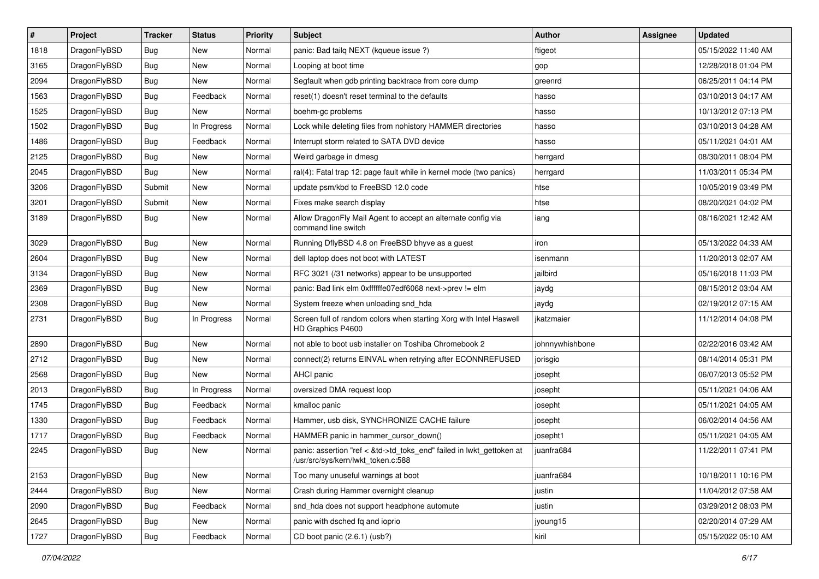| $\vert$ # | Project      | <b>Tracker</b> | <b>Status</b> | <b>Priority</b> | <b>Subject</b>                                                                                             | Author          | Assignee | <b>Updated</b>      |
|-----------|--------------|----------------|---------------|-----------------|------------------------------------------------------------------------------------------------------------|-----------------|----------|---------------------|
| 1818      | DragonFlyBSD | <b>Bug</b>     | New           | Normal          | panic: Bad tailg NEXT (kqueue issue ?)                                                                     | ftigeot         |          | 05/15/2022 11:40 AM |
| 3165      | DragonFlyBSD | Bug            | <b>New</b>    | Normal          | Looping at boot time                                                                                       | gop             |          | 12/28/2018 01:04 PM |
| 2094      | DragonFlyBSD | <b>Bug</b>     | New           | Normal          | Segfault when gdb printing backtrace from core dump                                                        | greenrd         |          | 06/25/2011 04:14 PM |
| 1563      | DragonFlyBSD | Bug            | Feedback      | Normal          | reset(1) doesn't reset terminal to the defaults                                                            | hasso           |          | 03/10/2013 04:17 AM |
| 1525      | DragonFlyBSD | <b>Bug</b>     | New           | Normal          | boehm-gc problems                                                                                          | hasso           |          | 10/13/2012 07:13 PM |
| 1502      | DragonFlyBSD | <b>Bug</b>     | In Progress   | Normal          | Lock while deleting files from nohistory HAMMER directories                                                | hasso           |          | 03/10/2013 04:28 AM |
| 1486      | DragonFlyBSD | Bug            | Feedback      | Normal          | Interrupt storm related to SATA DVD device                                                                 | hasso           |          | 05/11/2021 04:01 AM |
| 2125      | DragonFlyBSD | <b>Bug</b>     | New           | Normal          | Weird garbage in dmesg                                                                                     | herrgard        |          | 08/30/2011 08:04 PM |
| 2045      | DragonFlyBSD | Bug            | <b>New</b>    | Normal          | ral(4): Fatal trap 12: page fault while in kernel mode (two panics)                                        | herrgard        |          | 11/03/2011 05:34 PM |
| 3206      | DragonFlyBSD | Submit         | <b>New</b>    | Normal          | update psm/kbd to FreeBSD 12.0 code                                                                        | htse            |          | 10/05/2019 03:49 PM |
| 3201      | DragonFlyBSD | Submit         | New           | Normal          | Fixes make search display                                                                                  | htse            |          | 08/20/2021 04:02 PM |
| 3189      | DragonFlyBSD | Bug            | <b>New</b>    | Normal          | Allow DragonFly Mail Agent to accept an alternate config via<br>command line switch                        | iang            |          | 08/16/2021 12:42 AM |
| 3029      | DragonFlyBSD | <b>Bug</b>     | <b>New</b>    | Normal          | Running DflyBSD 4.8 on FreeBSD bhyve as a guest                                                            | iron            |          | 05/13/2022 04:33 AM |
| 2604      | DragonFlyBSD | <b>Bug</b>     | <b>New</b>    | Normal          | dell laptop does not boot with LATEST                                                                      | isenmann        |          | 11/20/2013 02:07 AM |
| 3134      | DragonFlyBSD | <b>Bug</b>     | New           | Normal          | RFC 3021 (/31 networks) appear to be unsupported                                                           | jailbird        |          | 05/16/2018 11:03 PM |
| 2369      | DragonFlyBSD | Bug            | New           | Normal          | panic: Bad link elm 0xffffffe07edf6068 next->prev != elm                                                   | jaydg           |          | 08/15/2012 03:04 AM |
| 2308      | DragonFlyBSD | <b>Bug</b>     | New           | Normal          | System freeze when unloading snd_hda                                                                       | jaydg           |          | 02/19/2012 07:15 AM |
| 2731      | DragonFlyBSD | <b>Bug</b>     | In Progress   | Normal          | Screen full of random colors when starting Xorg with Intel Haswell<br>HD Graphics P4600                    | ikatzmaier      |          | 11/12/2014 04:08 PM |
| 2890      | DragonFlyBSD | <b>Bug</b>     | New           | Normal          | not able to boot usb installer on Toshiba Chromebook 2                                                     | johnnywhishbone |          | 02/22/2016 03:42 AM |
| 2712      | DragonFlyBSD | Bug            | <b>New</b>    | Normal          | connect(2) returns EINVAL when retrying after ECONNREFUSED                                                 | jorisgio        |          | 08/14/2014 05:31 PM |
| 2568      | DragonFlyBSD | <b>Bug</b>     | New           | Normal          | <b>AHCI</b> panic                                                                                          | josepht         |          | 06/07/2013 05:52 PM |
| 2013      | DragonFlyBSD | Bug            | In Progress   | Normal          | oversized DMA request loop                                                                                 | josepht         |          | 05/11/2021 04:06 AM |
| 1745      | DragonFlyBSD | Bug            | Feedback      | Normal          | kmalloc panic                                                                                              | josepht         |          | 05/11/2021 04:05 AM |
| 1330      | DragonFlyBSD | <b>Bug</b>     | Feedback      | Normal          | Hammer, usb disk, SYNCHRONIZE CACHE failure                                                                | josepht         |          | 06/02/2014 04:56 AM |
| 1717      | DragonFlyBSD | Bug            | Feedback      | Normal          | HAMMER panic in hammer_cursor_down()                                                                       | josepht1        |          | 05/11/2021 04:05 AM |
| 2245      | DragonFlyBSD | Bug            | New           | Normal          | panic: assertion "ref < &td->td_toks_end" failed in lwkt_gettoken at<br>/usr/src/sys/kern/lwkt_token.c:588 | juanfra684      |          | 11/22/2011 07:41 PM |
| 2153      | DragonFlyBSD | Bug            | New           | Normal          | Too many unuseful warnings at boot                                                                         | juanfra684      |          | 10/18/2011 10:16 PM |
| 2444      | DragonFlyBSD | Bug            | New           | Normal          | Crash during Hammer overnight cleanup                                                                      | justin          |          | 11/04/2012 07:58 AM |
| 2090      | DragonFlyBSD | <b>Bug</b>     | Feedback      | Normal          | snd_hda does not support headphone automute                                                                | justin          |          | 03/29/2012 08:03 PM |
| 2645      | DragonFlyBSD | Bug            | New           | Normal          | panic with dsched fq and ioprio                                                                            | jyoung15        |          | 02/20/2014 07:29 AM |
| 1727      | DragonFlyBSD | Bug            | Feedback      | Normal          | CD boot panic (2.6.1) (usb?)                                                                               | kiril           |          | 05/15/2022 05:10 AM |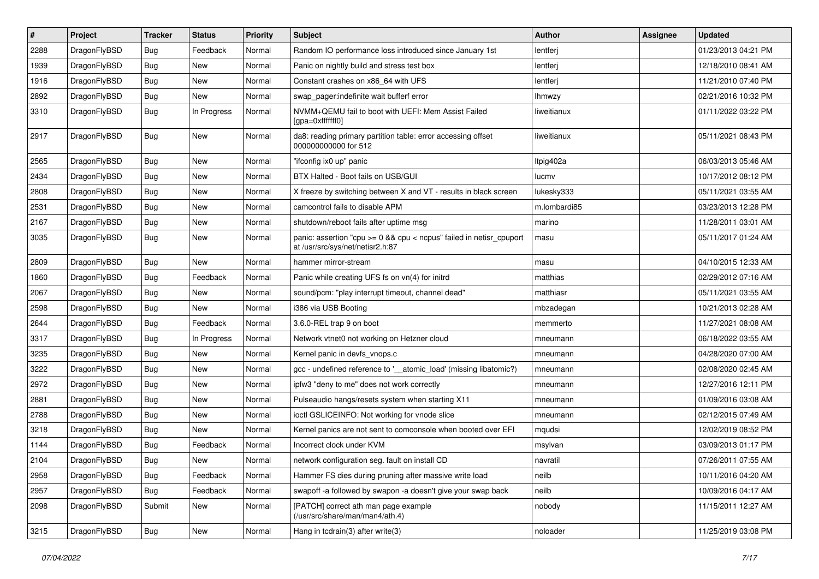| #    | Project      | <b>Tracker</b> | <b>Status</b> | <b>Priority</b> | Subject                                                                                                 | <b>Author</b> | Assignee | <b>Updated</b>      |
|------|--------------|----------------|---------------|-----------------|---------------------------------------------------------------------------------------------------------|---------------|----------|---------------------|
| 2288 | DragonFlyBSD | <b>Bug</b>     | Feedback      | Normal          | Random IO performance loss introduced since January 1st                                                 | lentferj      |          | 01/23/2013 04:21 PM |
| 1939 | DragonFlyBSD | <b>Bug</b>     | New           | Normal          | Panic on nightly build and stress test box                                                              | lentferj      |          | 12/18/2010 08:41 AM |
| 1916 | DragonFlyBSD | Bug            | New           | Normal          | Constant crashes on x86 64 with UFS                                                                     | lentferj      |          | 11/21/2010 07:40 PM |
| 2892 | DragonFlyBSD | <b>Bug</b>     | New           | Normal          | swap_pager:indefinite wait bufferf error                                                                | <b>Ihmwzy</b> |          | 02/21/2016 10:32 PM |
| 3310 | DragonFlyBSD | <b>Bug</b>     | In Progress   | Normal          | NVMM+QEMU fail to boot with UEFI: Mem Assist Failed<br>[gpa=0xfffffff0]                                 | liweitianux   |          | 01/11/2022 03:22 PM |
| 2917 | DragonFlyBSD | <b>Bug</b>     | New           | Normal          | da8: reading primary partition table: error accessing offset<br>000000000000 for 512                    | liweitianux   |          | 05/11/2021 08:43 PM |
| 2565 | DragonFlyBSD | <b>Bug</b>     | <b>New</b>    | Normal          | "ifconfig ix0 up" panic                                                                                 | Itpig402a     |          | 06/03/2013 05:46 AM |
| 2434 | DragonFlyBSD | <b>Bug</b>     | New           | Normal          | BTX Halted - Boot fails on USB/GUI                                                                      | lucmv         |          | 10/17/2012 08:12 PM |
| 2808 | DragonFlyBSD | <b>Bug</b>     | New           | Normal          | X freeze by switching between X and VT - results in black screen                                        | lukesky333    |          | 05/11/2021 03:55 AM |
| 2531 | DragonFlyBSD | <b>Bug</b>     | <b>New</b>    | Normal          | camcontrol fails to disable APM                                                                         | m.lombardi85  |          | 03/23/2013 12:28 PM |
| 2167 | DragonFlyBSD | Bug            | New           | Normal          | shutdown/reboot fails after uptime msg                                                                  | marino        |          | 11/28/2011 03:01 AM |
| 3035 | DragonFlyBSD | <b>Bug</b>     | New           | Normal          | panic: assertion "cpu >= 0 && cpu < ncpus" failed in netisr_cpuport<br>at /usr/src/sys/net/netisr2.h:87 | masu          |          | 05/11/2017 01:24 AM |
| 2809 | DragonFlyBSD | <b>Bug</b>     | New           | Normal          | hammer mirror-stream                                                                                    | masu          |          | 04/10/2015 12:33 AM |
| 1860 | DragonFlyBSD | Bug            | Feedback      | Normal          | Panic while creating UFS fs on vn(4) for initrd                                                         | matthias      |          | 02/29/2012 07:16 AM |
| 2067 | DragonFlyBSD | <b>Bug</b>     | New           | Normal          | sound/pcm: "play interrupt timeout, channel dead"                                                       | matthiasr     |          | 05/11/2021 03:55 AM |
| 2598 | DragonFlyBSD | <b>Bug</b>     | New           | Normal          | i386 via USB Booting                                                                                    | mbzadegan     |          | 10/21/2013 02:28 AM |
| 2644 | DragonFlyBSD | <b>Bug</b>     | Feedback      | Normal          | 3.6.0-REL trap 9 on boot                                                                                | memmerto      |          | 11/27/2021 08:08 AM |
| 3317 | DragonFlyBSD | Bug            | In Progress   | Normal          | Network vtnet0 not working on Hetzner cloud                                                             | mneumann      |          | 06/18/2022 03:55 AM |
| 3235 | DragonFlyBSD | <b>Bug</b>     | New           | Normal          | Kernel panic in devfs_vnops.c                                                                           | mneumann      |          | 04/28/2020 07:00 AM |
| 3222 | DragonFlyBSD | Bug            | <b>New</b>    | Normal          | gcc - undefined reference to '__atomic_load' (missing libatomic?)                                       | mneumann      |          | 02/08/2020 02:45 AM |
| 2972 | DragonFlyBSD | Bug            | New           | Normal          | ipfw3 "deny to me" does not work correctly                                                              | mneumann      |          | 12/27/2016 12:11 PM |
| 2881 | DragonFlyBSD | Bug            | New           | Normal          | Pulseaudio hangs/resets system when starting X11                                                        | mneumann      |          | 01/09/2016 03:08 AM |
| 2788 | DragonFlyBSD | Bug            | New           | Normal          | ioctl GSLICEINFO: Not working for vnode slice                                                           | mneumann      |          | 02/12/2015 07:49 AM |
| 3218 | DragonFlyBSD | <b>Bug</b>     | New           | Normal          | Kernel panics are not sent to comconsole when booted over EFI                                           | mqudsi        |          | 12/02/2019 08:52 PM |
| 1144 | DragonFlyBSD | <b>Bug</b>     | Feedback      | Normal          | Incorrect clock under KVM                                                                               | msylvan       |          | 03/09/2013 01:17 PM |
| 2104 | DragonFlyBSD | Bug            | New           | Normal          | network configuration seg. fault on install CD                                                          | navratil      |          | 07/26/2011 07:55 AM |
| 2958 | DragonFlyBSD | <b>Bug</b>     | Feedback      | Normal          | Hammer FS dies during pruning after massive write load                                                  | neilb         |          | 10/11/2016 04:20 AM |
| 2957 | DragonFlyBSD | <b>Bug</b>     | Feedback      | Normal          | swapoff -a followed by swapon -a doesn't give your swap back                                            | neilb         |          | 10/09/2016 04:17 AM |
| 2098 | DragonFlyBSD | Submit         | New           | Normal          | [PATCH] correct ath man page example<br>(/usr/src/share/man/man4/ath.4)                                 | nobody        |          | 11/15/2011 12:27 AM |
| 3215 | DragonFlyBSD | <b>Bug</b>     | New           | Normal          | Hang in tcdrain(3) after write(3)                                                                       | noloader      |          | 11/25/2019 03:08 PM |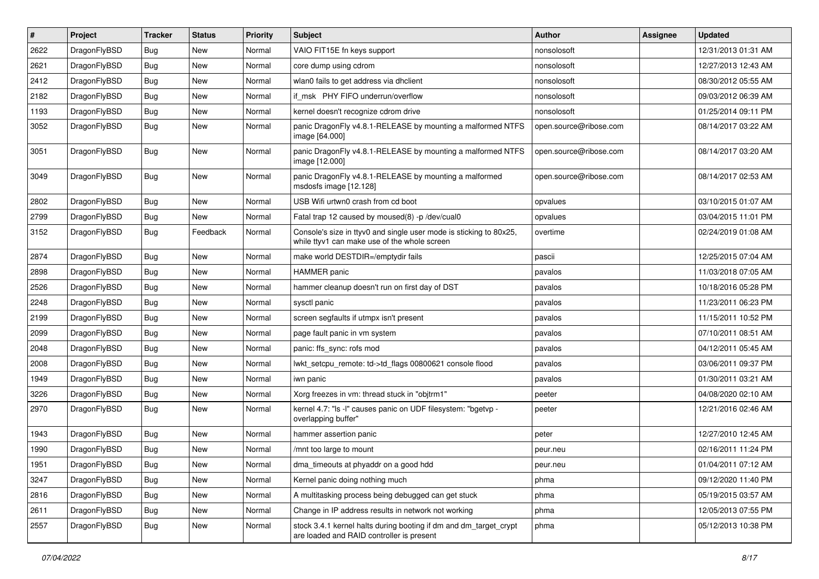| #    | Project      | <b>Tracker</b> | <b>Status</b> | <b>Priority</b> | <b>Subject</b>                                                                                                     | Author                 | Assignee | <b>Updated</b>      |
|------|--------------|----------------|---------------|-----------------|--------------------------------------------------------------------------------------------------------------------|------------------------|----------|---------------------|
| 2622 | DragonFlyBSD | <b>Bug</b>     | <b>New</b>    | Normal          | VAIO FIT15E fn keys support                                                                                        | nonsolosoft            |          | 12/31/2013 01:31 AM |
| 2621 | DragonFlyBSD | <b>Bug</b>     | <b>New</b>    | Normal          | core dump using cdrom                                                                                              | nonsolosoft            |          | 12/27/2013 12:43 AM |
| 2412 | DragonFlyBSD | <b>Bug</b>     | <b>New</b>    | Normal          | wlan0 fails to get address via dholient                                                                            | nonsolosoft            |          | 08/30/2012 05:55 AM |
| 2182 | DragonFlyBSD | Bug            | <b>New</b>    | Normal          | if msk PHY FIFO underrun/overflow                                                                                  | nonsolosoft            |          | 09/03/2012 06:39 AM |
| 1193 | DragonFlyBSD | <b>Bug</b>     | <b>New</b>    | Normal          | kernel doesn't recognize cdrom drive                                                                               | nonsolosoft            |          | 01/25/2014 09:11 PM |
| 3052 | DragonFlyBSD | Bug            | New           | Normal          | panic DragonFly v4.8.1-RELEASE by mounting a malformed NTFS<br>image [64.000]                                      | open.source@ribose.com |          | 08/14/2017 03:22 AM |
| 3051 | DragonFlyBSD | <b>Bug</b>     | <b>New</b>    | Normal          | panic DragonFly v4.8.1-RELEASE by mounting a malformed NTFS<br>image [12.000]                                      | open.source@ribose.com |          | 08/14/2017 03:20 AM |
| 3049 | DragonFlyBSD | Bug            | <b>New</b>    | Normal          | panic DragonFly v4.8.1-RELEASE by mounting a malformed<br>msdosfs image [12.128]                                   | open.source@ribose.com |          | 08/14/2017 02:53 AM |
| 2802 | DragonFlyBSD | Bug            | <b>New</b>    | Normal          | USB Wifi urtwn0 crash from cd boot                                                                                 | opvalues               |          | 03/10/2015 01:07 AM |
| 2799 | DragonFlyBSD | <b>Bug</b>     | New           | Normal          | Fatal trap 12 caused by moused(8) -p /dev/cual0                                                                    | opvalues               |          | 03/04/2015 11:01 PM |
| 3152 | DragonFlyBSD | <b>Bug</b>     | Feedback      | Normal          | Console's size in ttyv0 and single user mode is sticking to 80x25,<br>while ttyv1 can make use of the whole screen | overtime               |          | 02/24/2019 01:08 AM |
| 2874 | DragonFlyBSD | <b>Bug</b>     | <b>New</b>    | Normal          | make world DESTDIR=/emptydir fails                                                                                 | pascii                 |          | 12/25/2015 07:04 AM |
| 2898 | DragonFlyBSD | <b>Bug</b>     | <b>New</b>    | Normal          | <b>HAMMER</b> panic                                                                                                | pavalos                |          | 11/03/2018 07:05 AM |
| 2526 | DragonFlyBSD | <b>Bug</b>     | <b>New</b>    | Normal          | hammer cleanup doesn't run on first day of DST                                                                     | pavalos                |          | 10/18/2016 05:28 PM |
| 2248 | DragonFlyBSD | <b>Bug</b>     | <b>New</b>    | Normal          | sysctl panic                                                                                                       | pavalos                |          | 11/23/2011 06:23 PM |
| 2199 | DragonFlyBSD | Bug            | <b>New</b>    | Normal          | screen segfaults if utmpx isn't present                                                                            | pavalos                |          | 11/15/2011 10:52 PM |
| 2099 | DragonFlyBSD | <b>Bug</b>     | <b>New</b>    | Normal          | page fault panic in vm system                                                                                      | pavalos                |          | 07/10/2011 08:51 AM |
| 2048 | DragonFlyBSD | <b>Bug</b>     | <b>New</b>    | Normal          | panic: ffs sync: rofs mod                                                                                          | pavalos                |          | 04/12/2011 05:45 AM |
| 2008 | DragonFlyBSD | Bug            | <b>New</b>    | Normal          | lwkt_setcpu_remote: td->td_flags 00800621 console flood                                                            | pavalos                |          | 03/06/2011 09:37 PM |
| 1949 | DragonFlyBSD | <b>Bug</b>     | <b>New</b>    | Normal          | iwn panic                                                                                                          | pavalos                |          | 01/30/2011 03:21 AM |
| 3226 | DragonFlyBSD | Bug            | <b>New</b>    | Normal          | Xorg freezes in vm: thread stuck in "objtrm1"                                                                      | peeter                 |          | 04/08/2020 02:10 AM |
| 2970 | DragonFlyBSD | Bug            | <b>New</b>    | Normal          | kernel 4.7: "Is -I" causes panic on UDF filesystem: "bgetvp -<br>overlapping buffer"                               | peeter                 |          | 12/21/2016 02:46 AM |
| 1943 | DragonFlyBSD | Bug            | <b>New</b>    | Normal          | hammer assertion panic                                                                                             | peter                  |          | 12/27/2010 12:45 AM |
| 1990 | DragonFlyBSD | <b>Bug</b>     | <b>New</b>    | Normal          | /mnt too large to mount                                                                                            | peur.neu               |          | 02/16/2011 11:24 PM |
| 1951 | DragonFlyBSD | <b>Bug</b>     | New           | Normal          | dma_timeouts at phyaddr on a good hdd                                                                              | peur.neu               |          | 01/04/2011 07:12 AM |
| 3247 | DragonFlyBSD | Bug            | New           | Normal          | Kernel panic doing nothing much                                                                                    | phma                   |          | 09/12/2020 11:40 PM |
| 2816 | DragonFlyBSD | <b>Bug</b>     | New           | Normal          | A multitasking process being debugged can get stuck                                                                | phma                   |          | 05/19/2015 03:57 AM |
| 2611 | DragonFlyBSD | <b>Bug</b>     | New           | Normal          | Change in IP address results in network not working                                                                | phma                   |          | 12/05/2013 07:55 PM |
| 2557 | DragonFlyBSD | <b>Bug</b>     | New           | Normal          | stock 3.4.1 kernel halts during booting if dm and dm_target_crypt<br>are loaded and RAID controller is present     | phma                   |          | 05/12/2013 10:38 PM |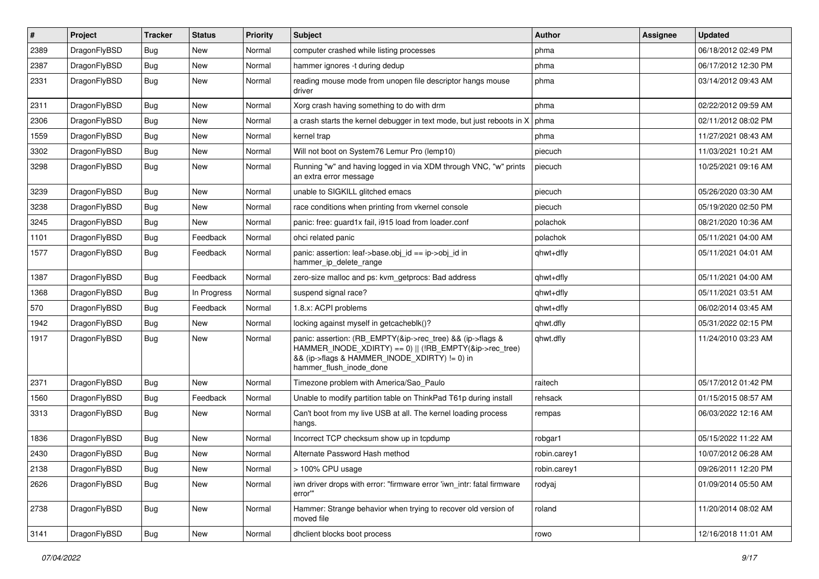| $\vert$ # | Project      | <b>Tracker</b> | <b>Status</b> | <b>Priority</b> | <b>Subject</b>                                                                                                                                                                                    | <b>Author</b> | Assignee | <b>Updated</b>      |
|-----------|--------------|----------------|---------------|-----------------|---------------------------------------------------------------------------------------------------------------------------------------------------------------------------------------------------|---------------|----------|---------------------|
| 2389      | DragonFlyBSD | Bug            | <b>New</b>    | Normal          | computer crashed while listing processes                                                                                                                                                          | phma          |          | 06/18/2012 02:49 PM |
| 2387      | DragonFlyBSD | <b>Bug</b>     | <b>New</b>    | Normal          | hammer ignores -t during dedup                                                                                                                                                                    | phma          |          | 06/17/2012 12:30 PM |
| 2331      | DragonFlyBSD | Bug            | <b>New</b>    | Normal          | reading mouse mode from unopen file descriptor hangs mouse<br>driver                                                                                                                              | phma          |          | 03/14/2012 09:43 AM |
| 2311      | DragonFlyBSD | Bug            | <b>New</b>    | Normal          | Xorg crash having something to do with drm                                                                                                                                                        | phma          |          | 02/22/2012 09:59 AM |
| 2306      | DragonFlyBSD | <b>Bug</b>     | New           | Normal          | a crash starts the kernel debugger in text mode, but just reboots in X                                                                                                                            | phma          |          | 02/11/2012 08:02 PM |
| 1559      | DragonFlyBSD | Bug            | <b>New</b>    | Normal          | kernel trap                                                                                                                                                                                       | phma          |          | 11/27/2021 08:43 AM |
| 3302      | DragonFlyBSD | <b>Bug</b>     | <b>New</b>    | Normal          | Will not boot on System76 Lemur Pro (lemp10)                                                                                                                                                      | piecuch       |          | 11/03/2021 10:21 AM |
| 3298      | DragonFlyBSD | Bug            | <b>New</b>    | Normal          | Running "w" and having logged in via XDM through VNC, "w" prints<br>an extra error message                                                                                                        | piecuch       |          | 10/25/2021 09:16 AM |
| 3239      | DragonFlyBSD | <b>Bug</b>     | <b>New</b>    | Normal          | unable to SIGKILL glitched emacs                                                                                                                                                                  | piecuch       |          | 05/26/2020 03:30 AM |
| 3238      | DragonFlyBSD | Bug            | <b>New</b>    | Normal          | race conditions when printing from vkernel console                                                                                                                                                | piecuch       |          | 05/19/2020 02:50 PM |
| 3245      | DragonFlyBSD | <b>Bug</b>     | <b>New</b>    | Normal          | panic: free: guard1x fail, i915 load from loader.conf                                                                                                                                             | polachok      |          | 08/21/2020 10:36 AM |
| 1101      | DragonFlyBSD | Bug            | Feedback      | Normal          | ohci related panic                                                                                                                                                                                | polachok      |          | 05/11/2021 04:00 AM |
| 1577      | DragonFlyBSD | Bug            | Feedback      | Normal          | panic: assertion: leaf->base.obj_id == ip->obj_id in<br>hammer_ip_delete_range                                                                                                                    | qhwt+dfly     |          | 05/11/2021 04:01 AM |
| 1387      | DragonFlyBSD | <b>Bug</b>     | Feedback      | Normal          | zero-size malloc and ps: kvm_getprocs: Bad address                                                                                                                                                | qhwt+dfly     |          | 05/11/2021 04:00 AM |
| 1368      | DragonFlyBSD | <b>Bug</b>     | In Progress   | Normal          | suspend signal race?                                                                                                                                                                              | qhwt+dfly     |          | 05/11/2021 03:51 AM |
| 570       | DragonFlyBSD | <b>Bug</b>     | Feedback      | Normal          | 1.8.x: ACPI problems                                                                                                                                                                              | qhwt+dfly     |          | 06/02/2014 03:45 AM |
| 1942      | DragonFlyBSD | Bug            | <b>New</b>    | Normal          | locking against myself in getcacheblk()?                                                                                                                                                          | qhwt.dfly     |          | 05/31/2022 02:15 PM |
| 1917      | DragonFlyBSD | Bug            | New           | Normal          | panic: assertion: (RB_EMPTY(&ip->rec_tree) && (ip->flags &<br>HAMMER_INODE_XDIRTY) == 0)    (!RB_EMPTY(&ip->rec_tree)<br>&& (ip->flags & HAMMER_INODE_XDIRTY) != 0) in<br>hammer_flush_inode_done | qhwt.dfly     |          | 11/24/2010 03:23 AM |
| 2371      | DragonFlyBSD | Bug            | <b>New</b>    | Normal          | Timezone problem with America/Sao_Paulo                                                                                                                                                           | raitech       |          | 05/17/2012 01:42 PM |
| 1560      | DragonFlyBSD | Bug            | Feedback      | Normal          | Unable to modify partition table on ThinkPad T61p during install                                                                                                                                  | rehsack       |          | 01/15/2015 08:57 AM |
| 3313      | DragonFlyBSD | Bug            | <b>New</b>    | Normal          | Can't boot from my live USB at all. The kernel loading process<br>hangs.                                                                                                                          | rempas        |          | 06/03/2022 12:16 AM |
| 1836      | DragonFlyBSD | <b>Bug</b>     | <b>New</b>    | Normal          | Incorrect TCP checksum show up in tcpdump                                                                                                                                                         | robgar1       |          | 05/15/2022 11:22 AM |
| 2430      | DragonFlyBSD | Bug            | <b>New</b>    | Normal          | Alternate Password Hash method                                                                                                                                                                    | robin.carey1  |          | 10/07/2012 06:28 AM |
| 2138      | DragonFlyBSD | <b>Bug</b>     | New           | Normal          | > 100% CPU usage                                                                                                                                                                                  | robin.carey1  |          | 09/26/2011 12:20 PM |
| 2626      | DragonFlyBSD | <b>Bug</b>     | New           | Normal          | iwn driver drops with error: "firmware error 'iwn intr: fatal firmware<br>error""                                                                                                                 | rodyaj        |          | 01/09/2014 05:50 AM |
| 2738      | DragonFlyBSD | <b>Bug</b>     | New           | Normal          | Hammer: Strange behavior when trying to recover old version of<br>moved file                                                                                                                      | roland        |          | 11/20/2014 08:02 AM |
| 3141      | DragonFlyBSD | <b>Bug</b>     | New           | Normal          | dhclient blocks boot process                                                                                                                                                                      | rowo          |          | 12/16/2018 11:01 AM |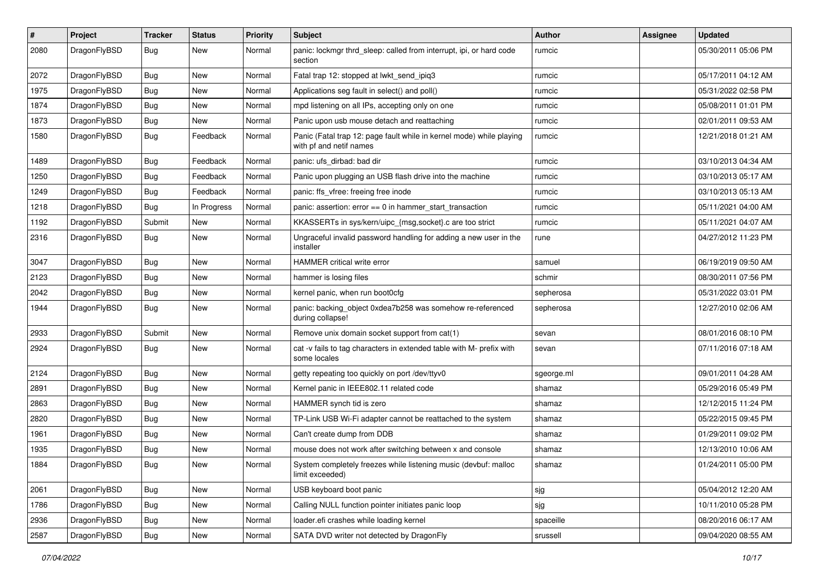| $\pmb{\#}$ | Project      | <b>Tracker</b> | <b>Status</b> | <b>Priority</b> | Subject                                                                                         | Author     | Assignee | <b>Updated</b>      |
|------------|--------------|----------------|---------------|-----------------|-------------------------------------------------------------------------------------------------|------------|----------|---------------------|
| 2080       | DragonFlyBSD | Bug            | New           | Normal          | panic: lockmgr thrd_sleep: called from interrupt, ipi, or hard code<br>section                  | rumcic     |          | 05/30/2011 05:06 PM |
| 2072       | DragonFlyBSD | <b>Bug</b>     | <b>New</b>    | Normal          | Fatal trap 12: stopped at lwkt_send_ipiq3                                                       | rumcic     |          | 05/17/2011 04:12 AM |
| 1975       | DragonFlyBSD | Bug            | New           | Normal          | Applications seg fault in select() and poll()                                                   | rumcic     |          | 05/31/2022 02:58 PM |
| 1874       | DragonFlyBSD | <b>Bug</b>     | New           | Normal          | mpd listening on all IPs, accepting only on one                                                 | rumcic     |          | 05/08/2011 01:01 PM |
| 1873       | DragonFlyBSD | <b>Bug</b>     | New           | Normal          | Panic upon usb mouse detach and reattaching                                                     | rumcic     |          | 02/01/2011 09:53 AM |
| 1580       | DragonFlyBSD | Bug            | Feedback      | Normal          | Panic (Fatal trap 12: page fault while in kernel mode) while playing<br>with pf and netif names | rumcic     |          | 12/21/2018 01:21 AM |
| 1489       | DragonFlyBSD | <b>Bug</b>     | Feedback      | Normal          | panic: ufs_dirbad: bad dir                                                                      | rumcic     |          | 03/10/2013 04:34 AM |
| 1250       | DragonFlyBSD | <b>Bug</b>     | Feedback      | Normal          | Panic upon plugging an USB flash drive into the machine                                         | rumcic     |          | 03/10/2013 05:17 AM |
| 1249       | DragonFlyBSD | Bug            | Feedback      | Normal          | panic: ffs vfree: freeing free inode                                                            | rumcic     |          | 03/10/2013 05:13 AM |
| 1218       | DragonFlyBSD | Bug            | In Progress   | Normal          | panic: assertion: error == 0 in hammer_start_transaction                                        | rumcic     |          | 05/11/2021 04:00 AM |
| 1192       | DragonFlyBSD | Submit         | New           | Normal          | KKASSERTs in sys/kern/uipc_{msg,socket}.c are too strict                                        | rumcic     |          | 05/11/2021 04:07 AM |
| 2316       | DragonFlyBSD | Bug            | New           | Normal          | Ungraceful invalid password handling for adding a new user in the<br>installer                  | rune       |          | 04/27/2012 11:23 PM |
| 3047       | DragonFlyBSD | <b>Bug</b>     | New           | Normal          | HAMMER critical write error                                                                     | samuel     |          | 06/19/2019 09:50 AM |
| 2123       | DragonFlyBSD | Bug            | New           | Normal          | hammer is losing files                                                                          | schmir     |          | 08/30/2011 07:56 PM |
| 2042       | DragonFlyBSD | Bug            | <b>New</b>    | Normal          | kernel panic, when run boot0cfg                                                                 | sepherosa  |          | 05/31/2022 03:01 PM |
| 1944       | DragonFlyBSD | Bug            | New           | Normal          | panic: backing_object 0xdea7b258 was somehow re-referenced<br>during collapse!                  | sepherosa  |          | 12/27/2010 02:06 AM |
| 2933       | DragonFlyBSD | Submit         | New           | Normal          | Remove unix domain socket support from cat(1)                                                   | sevan      |          | 08/01/2016 08:10 PM |
| 2924       | DragonFlyBSD | Bug            | New           | Normal          | cat -v fails to tag characters in extended table with M- prefix with<br>some locales            | sevan      |          | 07/11/2016 07:18 AM |
| 2124       | DragonFlyBSD | Bug            | New           | Normal          | getty repeating too quickly on port /dev/ttyv0                                                  | sgeorge.ml |          | 09/01/2011 04:28 AM |
| 2891       | DragonFlyBSD | Bug            | New           | Normal          | Kernel panic in IEEE802.11 related code                                                         | shamaz     |          | 05/29/2016 05:49 PM |
| 2863       | DragonFlyBSD | Bug            | <b>New</b>    | Normal          | HAMMER synch tid is zero                                                                        | shamaz     |          | 12/12/2015 11:24 PM |
| 2820       | DragonFlyBSD | <b>Bug</b>     | New           | Normal          | TP-Link USB Wi-Fi adapter cannot be reattached to the system                                    | shamaz     |          | 05/22/2015 09:45 PM |
| 1961       | DragonFlyBSD | Bug            | New           | Normal          | Can't create dump from DDB                                                                      | shamaz     |          | 01/29/2011 09:02 PM |
| 1935       | DragonFlyBSD | Bug            | New           | Normal          | mouse does not work after switching between x and console                                       | shamaz     |          | 12/13/2010 10:06 AM |
| 1884       | DragonFlyBSD | <b>Bug</b>     | New           | Normal          | System completely freezes while listening music (devbuf: malloc<br>limit exceeded)              | snamaz     |          | 01/24/2011 05:00 PM |
| 2061       | DragonFlyBSD | <b>Bug</b>     | New           | Normal          | USB keyboard boot panic                                                                         | sjg        |          | 05/04/2012 12:20 AM |
| 1786       | DragonFlyBSD | <b>Bug</b>     | New           | Normal          | Calling NULL function pointer initiates panic loop                                              | sjg        |          | 10/11/2010 05:28 PM |
| 2936       | DragonFlyBSD | <b>Bug</b>     | New           | Normal          | loader.efi crashes while loading kernel                                                         | spaceille  |          | 08/20/2016 06:17 AM |
| 2587       | DragonFlyBSD | <b>Bug</b>     | New           | Normal          | SATA DVD writer not detected by DragonFly                                                       | srussell   |          | 09/04/2020 08:55 AM |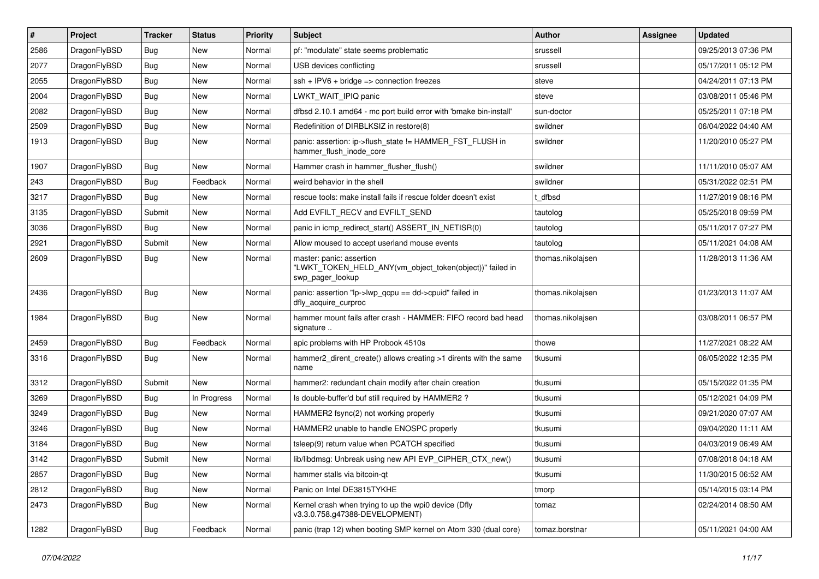| $\vert$ # | Project      | <b>Tracker</b> | <b>Status</b> | <b>Priority</b> | <b>Subject</b>                                                                                           | Author            | Assignee | <b>Updated</b>      |
|-----------|--------------|----------------|---------------|-----------------|----------------------------------------------------------------------------------------------------------|-------------------|----------|---------------------|
| 2586      | DragonFlyBSD | <b>Bug</b>     | <b>New</b>    | Normal          | pf: "modulate" state seems problematic                                                                   | srussell          |          | 09/25/2013 07:36 PM |
| 2077      | DragonFlyBSD | <b>Bug</b>     | <b>New</b>    | Normal          | USB devices conflicting                                                                                  | srussell          |          | 05/17/2011 05:12 PM |
| 2055      | DragonFlyBSD | <b>Bug</b>     | <b>New</b>    | Normal          | $ssh + IPV6 + bridge \Rightarrow connection freezes$                                                     | steve             |          | 04/24/2011 07:13 PM |
| 2004      | DragonFlyBSD | Bug            | <b>New</b>    | Normal          | LWKT_WAIT_IPIQ panic                                                                                     | steve             |          | 03/08/2011 05:46 PM |
| 2082      | DragonFlyBSD | <b>Bug</b>     | <b>New</b>    | Normal          | dfbsd 2.10.1 amd64 - mc port build error with 'bmake bin-install'                                        | sun-doctor        |          | 05/25/2011 07:18 PM |
| 2509      | DragonFlyBSD | <b>Bug</b>     | <b>New</b>    | Normal          | Redefinition of DIRBLKSIZ in restore(8)                                                                  | swildner          |          | 06/04/2022 04:40 AM |
| 1913      | DragonFlyBSD | Bug            | <b>New</b>    | Normal          | panic: assertion: ip->flush_state != HAMMER_FST_FLUSH in<br>hammer_flush_inode_core                      | swildner          |          | 11/20/2010 05:27 PM |
| 1907      | DragonFlyBSD | <b>Bug</b>     | <b>New</b>    | Normal          | Hammer crash in hammer_flusher_flush()                                                                   | swildner          |          | 11/11/2010 05:07 AM |
| 243       | DragonFlyBSD | <b>Bug</b>     | Feedback      | Normal          | weird behavior in the shell                                                                              | swildner          |          | 05/31/2022 02:51 PM |
| 3217      | DragonFlyBSD | <b>Bug</b>     | <b>New</b>    | Normal          | rescue tools: make install fails if rescue folder doesn't exist                                          | dfbsd             |          | 11/27/2019 08:16 PM |
| 3135      | DragonFlyBSD | Submit         | <b>New</b>    | Normal          | Add EVFILT_RECV and EVFILT_SEND                                                                          | tautolog          |          | 05/25/2018 09:59 PM |
| 3036      | DragonFlyBSD | Bug            | <b>New</b>    | Normal          | panic in icmp redirect start() ASSERT IN NETISR(0)                                                       | tautolog          |          | 05/11/2017 07:27 PM |
| 2921      | DragonFlyBSD | Submit         | <b>New</b>    | Normal          | Allow moused to accept userland mouse events                                                             | tautolog          |          | 05/11/2021 04:08 AM |
| 2609      | DragonFlyBSD | Bug            | New           | Normal          | master: panic: assertion<br>"LWKT_TOKEN_HELD_ANY(vm_object_token(object))" failed in<br>swp_pager_lookup | thomas.nikolajsen |          | 11/28/2013 11:36 AM |
| 2436      | DragonFlyBSD | <b>Bug</b>     | New           | Normal          | panic: assertion "lp->lwp_qcpu == dd->cpuid" failed in<br>dfly_acquire_curproc                           | thomas.nikolajsen |          | 01/23/2013 11:07 AM |
| 1984      | DragonFlyBSD | Bug            | New           | Normal          | hammer mount fails after crash - HAMMER: FIFO record bad head<br>signature                               | thomas.nikolajsen |          | 03/08/2011 06:57 PM |
| 2459      | DragonFlyBSD | <b>Bug</b>     | Feedback      | Normal          | apic problems with HP Probook 4510s                                                                      | thowe             |          | 11/27/2021 08:22 AM |
| 3316      | DragonFlyBSD | Bug            | <b>New</b>    | Normal          | hammer2 dirent create() allows creating >1 dirents with the same<br>name                                 | tkusumi           |          | 06/05/2022 12:35 PM |
| 3312      | DragonFlyBSD | Submit         | <b>New</b>    | Normal          | hammer2: redundant chain modify after chain creation                                                     | tkusumi           |          | 05/15/2022 01:35 PM |
| 3269      | DragonFlyBSD | Bug            | In Progress   | Normal          | Is double-buffer'd buf still required by HAMMER2?                                                        | tkusumi           |          | 05/12/2021 04:09 PM |
| 3249      | DragonFlyBSD | <b>Bug</b>     | <b>New</b>    | Normal          | HAMMER2 fsync(2) not working properly                                                                    | tkusumi           |          | 09/21/2020 07:07 AM |
| 3246      | DragonFlyBSD | <b>Bug</b>     | <b>New</b>    | Normal          | HAMMER2 unable to handle ENOSPC properly                                                                 | tkusumi           |          | 09/04/2020 11:11 AM |
| 3184      | DragonFlyBSD | <b>Bug</b>     | <b>New</b>    | Normal          | tsleep(9) return value when PCATCH specified                                                             | tkusumi           |          | 04/03/2019 06:49 AM |
| 3142      | DragonFlyBSD | Submit         | New           | Normal          | lib/libdmsg: Unbreak using new API EVP CIPHER CTX new()                                                  | tkusumi           |          | 07/08/2018 04:18 AM |
| 2857      | DragonFlyBSD | Bug            | New           | Normal          | hammer stalls via bitcoin-qt                                                                             | tkusumi           |          | 11/30/2015 06:52 AM |
| 2812      | DragonFlyBSD | <b>Bug</b>     | New           | Normal          | Panic on Intel DE3815TYKHE                                                                               | tmorp             |          | 05/14/2015 03:14 PM |
| 2473      | DragonFlyBSD | Bug            | New           | Normal          | Kernel crash when trying to up the wpi0 device (Dfly<br>v3.3.0.758.g47388-DEVELOPMENT)                   | tomaz             |          | 02/24/2014 08:50 AM |
| 1282      | DragonFlyBSD | <b>Bug</b>     | Feedback      | Normal          | panic (trap 12) when booting SMP kernel on Atom 330 (dual core)                                          | tomaz.borstnar    |          | 05/11/2021 04:00 AM |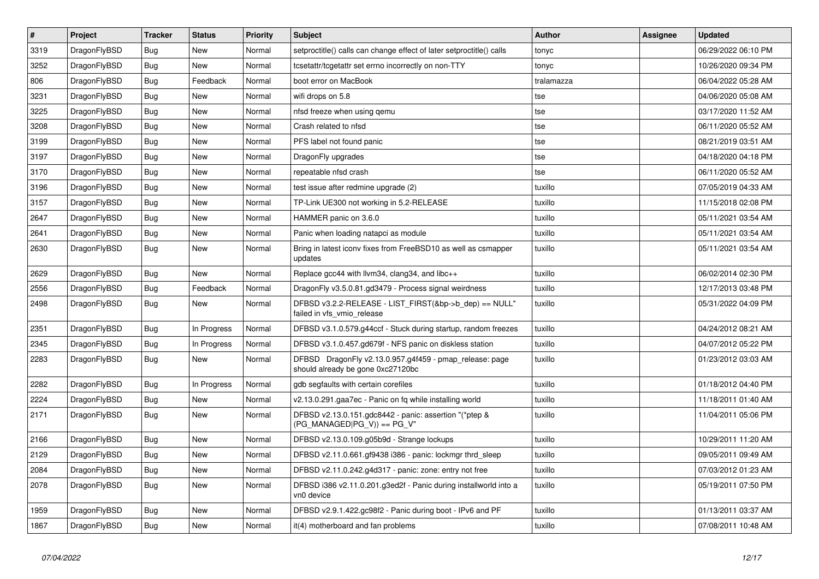| $\vert$ # | <b>Project</b> | <b>Tracker</b> | <b>Status</b> | <b>Priority</b> | <b>Subject</b>                                                                               | <b>Author</b> | Assignee | <b>Updated</b>      |
|-----------|----------------|----------------|---------------|-----------------|----------------------------------------------------------------------------------------------|---------------|----------|---------------------|
| 3319      | DragonFlyBSD   | Bug            | <b>New</b>    | Normal          | setproctitle() calls can change effect of later setproctitle() calls                         | tonyc         |          | 06/29/2022 06:10 PM |
| 3252      | DragonFlyBSD   | Bug            | <b>New</b>    | Normal          | tcsetattr/tcgetattr set errno incorrectly on non-TTY                                         | tonyc         |          | 10/26/2020 09:34 PM |
| 806       | DragonFlyBSD   | Bug            | Feedback      | Normal          | boot error on MacBook                                                                        | tralamazza    |          | 06/04/2022 05:28 AM |
| 3231      | DragonFlyBSD   | Bug            | <b>New</b>    | Normal          | wifi drops on 5.8                                                                            | tse           |          | 04/06/2020 05:08 AM |
| 3225      | DragonFlyBSD   | <b>Bug</b>     | <b>New</b>    | Normal          | nfsd freeze when using gemu                                                                  | tse           |          | 03/17/2020 11:52 AM |
| 3208      | DragonFlyBSD   | <b>Bug</b>     | <b>New</b>    | Normal          | Crash related to nfsd                                                                        | tse           |          | 06/11/2020 05:52 AM |
| 3199      | DragonFlyBSD   | Bug            | <b>New</b>    | Normal          | PFS label not found panic                                                                    | tse           |          | 08/21/2019 03:51 AM |
| 3197      | DragonFlyBSD   | Bug            | <b>New</b>    | Normal          | DragonFly upgrades                                                                           | tse           |          | 04/18/2020 04:18 PM |
| 3170      | DragonFlyBSD   | Bug            | <b>New</b>    | Normal          | repeatable nfsd crash                                                                        | tse           |          | 06/11/2020 05:52 AM |
| 3196      | DragonFlyBSD   | Bug            | <b>New</b>    | Normal          | test issue after redmine upgrade (2)                                                         | tuxillo       |          | 07/05/2019 04:33 AM |
| 3157      | DragonFlyBSD   | Bug            | New           | Normal          | TP-Link UE300 not working in 5.2-RELEASE                                                     | tuxillo       |          | 11/15/2018 02:08 PM |
| 2647      | DragonFlyBSD   | Bug            | <b>New</b>    | Normal          | HAMMER panic on 3.6.0                                                                        | tuxillo       |          | 05/11/2021 03:54 AM |
| 2641      | DragonFlyBSD   | <b>Bug</b>     | <b>New</b>    | Normal          | Panic when loading natapci as module                                                         | tuxillo       |          | 05/11/2021 03:54 AM |
| 2630      | DragonFlyBSD   | <b>Bug</b>     | <b>New</b>    | Normal          | Bring in latest iconv fixes from FreeBSD10 as well as csmapper<br>updates                    | tuxillo       |          | 05/11/2021 03:54 AM |
| 2629      | DragonFlyBSD   | Bug            | <b>New</b>    | Normal          | Replace gcc44 with llvm34, clang34, and libc++                                               | tuxillo       |          | 06/02/2014 02:30 PM |
| 2556      | DragonFlyBSD   | <b>Bug</b>     | Feedback      | Normal          | DragonFly v3.5.0.81.gd3479 - Process signal weirdness                                        | tuxillo       |          | 12/17/2013 03:48 PM |
| 2498      | DragonFlyBSD   | Bug            | New           | Normal          | DFBSD v3.2.2-RELEASE - LIST FIRST(&bp->b dep) == NULL"<br>failed in vfs vmio release         | tuxillo       |          | 05/31/2022 04:09 PM |
| 2351      | DragonFlyBSD   | Bug            | In Progress   | Normal          | DFBSD v3.1.0.579.g44ccf - Stuck during startup, random freezes                               | tuxillo       |          | 04/24/2012 08:21 AM |
| 2345      | DragonFlyBSD   | Bug            | In Progress   | Normal          | DFBSD v3.1.0.457.gd679f - NFS panic on diskless station                                      | tuxillo       |          | 04/07/2012 05:22 PM |
| 2283      | DragonFlyBSD   | Bug            | New           | Normal          | DFBSD DragonFly v2.13.0.957.g4f459 - pmap_release: page<br>should already be gone 0xc27120bc | tuxillo       |          | 01/23/2012 03:03 AM |
| 2282      | DragonFlyBSD   | Bug            | In Progress   | Normal          | gdb segfaults with certain corefiles                                                         | tuxillo       |          | 01/18/2012 04:40 PM |
| 2224      | DragonFlyBSD   | Bug            | New           | Normal          | v2.13.0.291.gaa7ec - Panic on fq while installing world                                      | tuxillo       |          | 11/18/2011 01:40 AM |
| 2171      | DragonFlyBSD   | Bug            | <b>New</b>    | Normal          | DFBSD v2.13.0.151.gdc8442 - panic: assertion "(*ptep &<br>$(PG_MANAGED PG_V)) == PG_V"$      | tuxillo       |          | 11/04/2011 05:06 PM |
| 2166      | DragonFlyBSD   | <b>Bug</b>     | <b>New</b>    | Normal          | DFBSD v2.13.0.109.g05b9d - Strange lockups                                                   | tuxillo       |          | 10/29/2011 11:20 AM |
| 2129      | DragonFlyBSD   | Bug            | <b>New</b>    | Normal          | DFBSD v2.11.0.661.gf9438 i386 - panic: lockmgr thrd_sleep                                    | tuxillo       |          | 09/05/2011 09:49 AM |
| 2084      | DragonFlyBSD   | Bug            | <b>New</b>    | Normal          | DFBSD v2.11.0.242.g4d317 - panic: zone: entry not free                                       | tuxillo       |          | 07/03/2012 01:23 AM |
| 2078      | DragonFlyBSD   | <b>Bug</b>     | <b>New</b>    | Normal          | DFBSD i386 v2.11.0.201.g3ed2f - Panic during installworld into a<br>vn0 device               | tuxillo       |          | 05/19/2011 07:50 PM |
| 1959      | DragonFlyBSD   | Bug            | <b>New</b>    | Normal          | DFBSD v2.9.1.422.gc98f2 - Panic during boot - IPv6 and PF                                    | tuxillo       |          | 01/13/2011 03:37 AM |
| 1867      | DragonFlyBSD   | Bug            | <b>New</b>    | Normal          | it(4) motherboard and fan problems                                                           | tuxillo       |          | 07/08/2011 10:48 AM |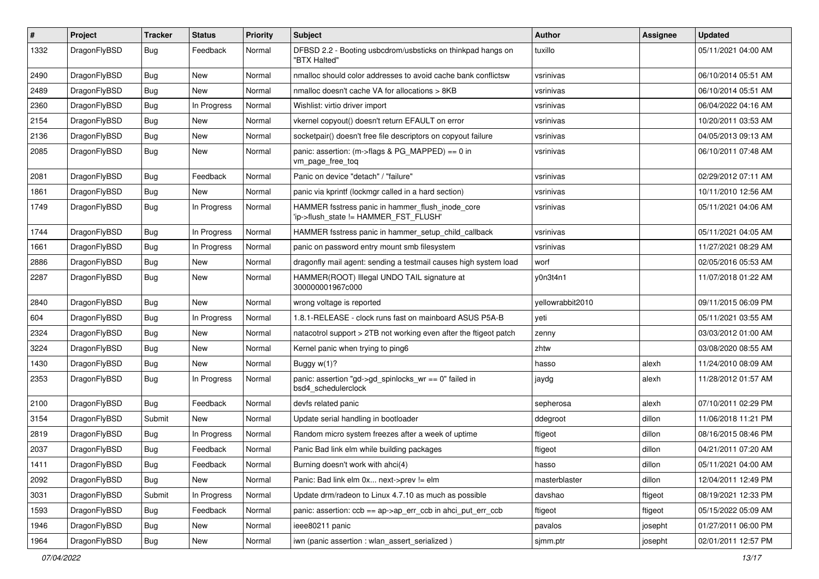| #    | Project      | <b>Tracker</b> | <b>Status</b> | <b>Priority</b> | Subject                                                                                   | <b>Author</b>    | Assignee | <b>Updated</b>      |
|------|--------------|----------------|---------------|-----------------|-------------------------------------------------------------------------------------------|------------------|----------|---------------------|
| 1332 | DragonFlyBSD | <b>Bug</b>     | Feedback      | Normal          | DFBSD 2.2 - Booting usbcdrom/usbsticks on thinkpad hangs on<br>"BTX Halted"               | tuxillo          |          | 05/11/2021 04:00 AM |
| 2490 | DragonFlyBSD | <b>Bug</b>     | New           | Normal          | nmalloc should color addresses to avoid cache bank conflictsw                             | vsrinivas        |          | 06/10/2014 05:51 AM |
| 2489 | DragonFlyBSD | <b>Bug</b>     | New           | Normal          | nmalloc doesn't cache VA for allocations > 8KB                                            | vsrinivas        |          | 06/10/2014 05:51 AM |
| 2360 | DragonFlyBSD | Bug            | In Progress   | Normal          | Wishlist: virtio driver import                                                            | vsrinivas        |          | 06/04/2022 04:16 AM |
| 2154 | DragonFlyBSD | <b>Bug</b>     | New           | Normal          | vkernel copyout() doesn't return EFAULT on error                                          | vsrinivas        |          | 10/20/2011 03:53 AM |
| 2136 | DragonFlyBSD | <b>Bug</b>     | New           | Normal          | socketpair() doesn't free file descriptors on copyout failure                             | vsrinivas        |          | 04/05/2013 09:13 AM |
| 2085 | DragonFlyBSD | <b>Bug</b>     | New           | Normal          | panic: assertion: (m->flags & PG_MAPPED) == 0 in<br>vm_page_free_toq                      | vsrinivas        |          | 06/10/2011 07:48 AM |
| 2081 | DragonFlyBSD | Bug            | Feedback      | Normal          | Panic on device "detach" / "failure"                                                      | vsrinivas        |          | 02/29/2012 07:11 AM |
| 1861 | DragonFlyBSD | <b>Bug</b>     | New           | Normal          | panic via kprintf (lockmgr called in a hard section)                                      | vsrinivas        |          | 10/11/2010 12:56 AM |
| 1749 | DragonFlyBSD | <b>Bug</b>     | In Progress   | Normal          | HAMMER fsstress panic in hammer_flush_inode_core<br>'ip->flush_state != HAMMER_FST_FLUSH' | vsrinivas        |          | 05/11/2021 04:06 AM |
| 1744 | DragonFlyBSD | <b>Bug</b>     | In Progress   | Normal          | HAMMER fsstress panic in hammer setup child callback                                      | vsrinivas        |          | 05/11/2021 04:05 AM |
| 1661 | DragonFlyBSD | <b>Bug</b>     | In Progress   | Normal          | panic on password entry mount smb filesystem                                              | vsrinivas        |          | 11/27/2021 08:29 AM |
| 2886 | DragonFlyBSD | <b>Bug</b>     | New           | Normal          | dragonfly mail agent: sending a testmail causes high system load                          | worf             |          | 02/05/2016 05:53 AM |
| 2287 | DragonFlyBSD | <b>Bug</b>     | New           | Normal          | HAMMER(ROOT) Illegal UNDO TAIL signature at<br>300000001967c000                           | y0n3t4n1         |          | 11/07/2018 01:22 AM |
| 2840 | DragonFlyBSD | <b>Bug</b>     | New           | Normal          | wrong voltage is reported                                                                 | yellowrabbit2010 |          | 09/11/2015 06:09 PM |
| 604  | DragonFlyBSD | <b>Bug</b>     | In Progress   | Normal          | 1.8.1-RELEASE - clock runs fast on mainboard ASUS P5A-B                                   | yeti             |          | 05/11/2021 03:55 AM |
| 2324 | DragonFlyBSD | <b>Bug</b>     | <b>New</b>    | Normal          | natacotrol support > 2TB not working even after the ftigeot patch                         | zenny            |          | 03/03/2012 01:00 AM |
| 3224 | DragonFlyBSD | <b>Bug</b>     | New           | Normal          | Kernel panic when trying to ping6                                                         | zhtw             |          | 03/08/2020 08:55 AM |
| 1430 | DragonFlyBSD | <b>Bug</b>     | <b>New</b>    | Normal          | Buggy w(1)?                                                                               | hasso            | alexh    | 11/24/2010 08:09 AM |
| 2353 | DragonFlyBSD | Bug            | In Progress   | Normal          | panic: assertion "gd->gd_spinlocks_wr == 0" failed in<br>bsd4_schedulerclock              | jaydg            | alexh    | 11/28/2012 01:57 AM |
| 2100 | DragonFlyBSD | Bug            | Feedback      | Normal          | devfs related panic                                                                       | sepherosa        | alexh    | 07/10/2011 02:29 PM |
| 3154 | DragonFlyBSD | Submit         | <b>New</b>    | Normal          | Update serial handling in bootloader                                                      | ddegroot         | dillon   | 11/06/2018 11:21 PM |
| 2819 | DragonFlyBSD | Bug            | In Progress   | Normal          | Random micro system freezes after a week of uptime                                        | ftigeot          | dillon   | 08/16/2015 08:46 PM |
| 2037 | DragonFlyBSD | Bug            | Feedback      | Normal          | Panic Bad link elm while building packages                                                | ftigeot          | dillon   | 04/21/2011 07:20 AM |
| 1411 | DragonFlyBSD | <b>Bug</b>     | Feedback      | Normal          | Burning doesn't work with ahci(4)                                                         | hasso            | dillon   | 05/11/2021 04:00 AM |
| 2092 | DragonFlyBSD | <b>Bug</b>     | New           | Normal          | Panic: Bad link elm 0x next->prev != elm                                                  | masterblaster    | dillon   | 12/04/2011 12:49 PM |
| 3031 | DragonFlyBSD | Submit         | In Progress   | Normal          | Update drm/radeon to Linux 4.7.10 as much as possible                                     | davshao          | ftigeot  | 08/19/2021 12:33 PM |
| 1593 | DragonFlyBSD | <b>Bug</b>     | Feedback      | Normal          | panic: assertion: $ccb == ap > ap$ err $ccb$ in ahci put err $ccb$                        | ftigeot          | ftigeot  | 05/15/2022 05:09 AM |
| 1946 | DragonFlyBSD | <b>Bug</b>     | <b>New</b>    | Normal          | ieee80211 panic                                                                           | pavalos          | josepht  | 01/27/2011 06:00 PM |
| 1964 | DragonFlyBSD | Bug            | New           | Normal          | iwn (panic assertion : wlan_assert_serialized)                                            | sjmm.ptr         | josepht  | 02/01/2011 12:57 PM |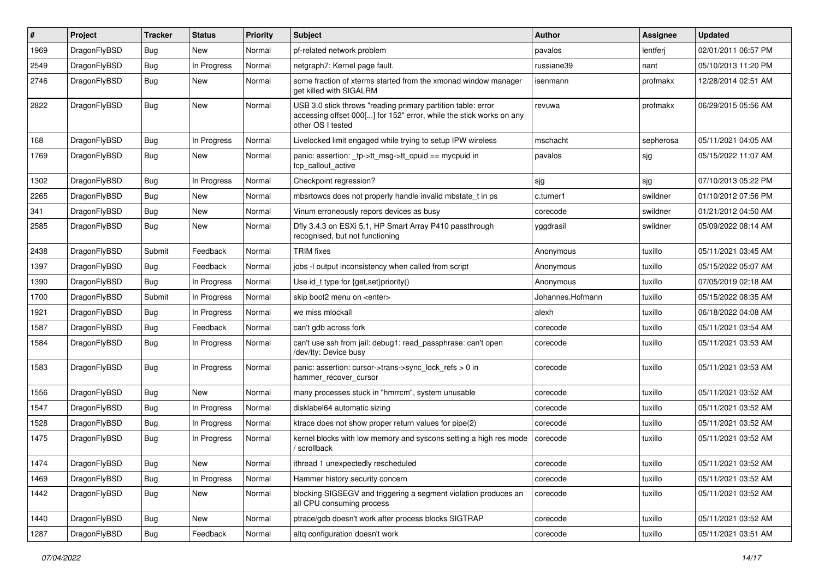| #    | Project      | <b>Tracker</b> | <b>Status</b> | <b>Priority</b> | Subject                                                                                                                                                  | <b>Author</b>    | <b>Assignee</b> | <b>Updated</b>      |
|------|--------------|----------------|---------------|-----------------|----------------------------------------------------------------------------------------------------------------------------------------------------------|------------------|-----------------|---------------------|
| 1969 | DragonFlyBSD | Bug            | New           | Normal          | pf-related network problem                                                                                                                               | pavalos          | lentferj        | 02/01/2011 06:57 PM |
| 2549 | DragonFlyBSD | Bug            | In Progress   | Normal          | netgraph7: Kernel page fault.                                                                                                                            | russiane39       | nant            | 05/10/2013 11:20 PM |
| 2746 | DragonFlyBSD | Bug            | New           | Normal          | some fraction of xterms started from the xmonad window manager<br>get killed with SIGALRM                                                                | isenmann         | profmakx        | 12/28/2014 02:51 AM |
| 2822 | DragonFlyBSD | <b>Bug</b>     | <b>New</b>    | Normal          | USB 3.0 stick throws "reading primary partition table: error<br>accessing offset 000[] for 152" error, while the stick works on any<br>other OS I tested | revuwa           | profmakx        | 06/29/2015 05:56 AM |
| 168  | DragonFlyBSD | Bug            | In Progress   | Normal          | Livelocked limit engaged while trying to setup IPW wireless                                                                                              | mschacht         | sepherosa       | 05/11/2021 04:05 AM |
| 1769 | DragonFlyBSD | Bug            | New           | Normal          | panic: assertion: tp->tt_msg->tt_cpuid == mycpuid in<br>tcp_callout_active                                                                               | pavalos          | sjg             | 05/15/2022 11:07 AM |
| 1302 | DragonFlyBSD | Bug            | In Progress   | Normal          | Checkpoint regression?                                                                                                                                   | sjg              | sjg             | 07/10/2013 05:22 PM |
| 2265 | DragonFlyBSD | Bug            | New           | Normal          | mbsrtowcs does not properly handle invalid mbstate t in ps                                                                                               | c.turner1        | swildner        | 01/10/2012 07:56 PM |
| 341  | DragonFlyBSD | Bug            | New           | Normal          | Vinum erroneously repors devices as busy                                                                                                                 | corecode         | swildner        | 01/21/2012 04:50 AM |
| 2585 | DragonFlyBSD | <b>Bug</b>     | New           | Normal          | Dfly 3.4.3 on ESXi 5.1, HP Smart Array P410 passthrough<br>recognised, but not functioning                                                               | yggdrasil        | swildner        | 05/09/2022 08:14 AM |
| 2438 | DragonFlyBSD | Submit         | Feedback      | Normal          | <b>TRIM</b> fixes                                                                                                                                        | Anonymous        | tuxillo         | 05/11/2021 03:45 AM |
| 1397 | DragonFlyBSD | <b>Bug</b>     | Feedback      | Normal          | jobs -I output inconsistency when called from script                                                                                                     | Anonymous        | tuxillo         | 05/15/2022 05:07 AM |
| 1390 | DragonFlyBSD | <b>Bug</b>     | In Progress   | Normal          | Use id_t type for {get,set}priority()                                                                                                                    | Anonymous        | tuxillo         | 07/05/2019 02:18 AM |
| 1700 | DragonFlyBSD | Submit         | In Progress   | Normal          | skip boot2 menu on <enter></enter>                                                                                                                       | Johannes.Hofmann | tuxillo         | 05/15/2022 08:35 AM |
| 1921 | DragonFlyBSD | <b>Bug</b>     | In Progress   | Normal          | we miss mlockall                                                                                                                                         | alexh            | tuxillo         | 06/18/2022 04:08 AM |
| 1587 | DragonFlyBSD | <b>Bug</b>     | Feedback      | Normal          | can't gdb across fork                                                                                                                                    | corecode         | tuxillo         | 05/11/2021 03:54 AM |
| 1584 | DragonFlyBSD | <b>Bug</b>     | In Progress   | Normal          | can't use ssh from jail: debug1: read_passphrase: can't open<br>/dev/tty: Device busy                                                                    | corecode         | tuxillo         | 05/11/2021 03:53 AM |
| 1583 | DragonFlyBSD | <b>Bug</b>     | In Progress   | Normal          | panic: assertion: cursor->trans->sync_lock_refs > 0 in<br>hammer_recover_cursor                                                                          | corecode         | tuxillo         | 05/11/2021 03:53 AM |
| 1556 | DragonFlyBSD | <b>Bug</b>     | <b>New</b>    | Normal          | many processes stuck in "hmrrcm", system unusable                                                                                                        | corecode         | tuxillo         | 05/11/2021 03:52 AM |
| 1547 | DragonFlyBSD | Bug            | In Progress   | Normal          | disklabel64 automatic sizing                                                                                                                             | corecode         | tuxillo         | 05/11/2021 03:52 AM |
| 1528 | DragonFlyBSD | Bug            | In Progress   | Normal          | ktrace does not show proper return values for pipe(2)                                                                                                    | corecode         | tuxillo         | 05/11/2021 03:52 AM |
| 1475 | DragonFlyBSD | <b>Bug</b>     | In Progress   | Normal          | kernel blocks with low memory and syscons setting a high res mode<br>/ scrollback                                                                        | corecode         | tuxillo         | 05/11/2021 03:52 AM |
| 1474 | DragonFlyBSD | <b>Bug</b>     | New           | Normal          | ithread 1 unexpectedly rescheduled                                                                                                                       | corecode         | tuxillo         | 05/11/2021 03:52 AM |
| 1469 | DragonFlyBSD | Bug            | In Progress   | Normal          | Hammer history security concern                                                                                                                          | corecode         | tuxillo         | 05/11/2021 03:52 AM |
| 1442 | DragonFlyBSD | Bug            | New           | Normal          | blocking SIGSEGV and triggering a segment violation produces an<br>all CPU consuming process                                                             | corecode         | tuxillo         | 05/11/2021 03:52 AM |
| 1440 | DragonFlyBSD | <b>Bug</b>     | New           | Normal          | ptrace/gdb doesn't work after process blocks SIGTRAP                                                                                                     | corecode         | tuxillo         | 05/11/2021 03:52 AM |
| 1287 | DragonFlyBSD | <b>Bug</b>     | Feedback      | Normal          | altq configuration doesn't work                                                                                                                          | corecode         | tuxillo         | 05/11/2021 03:51 AM |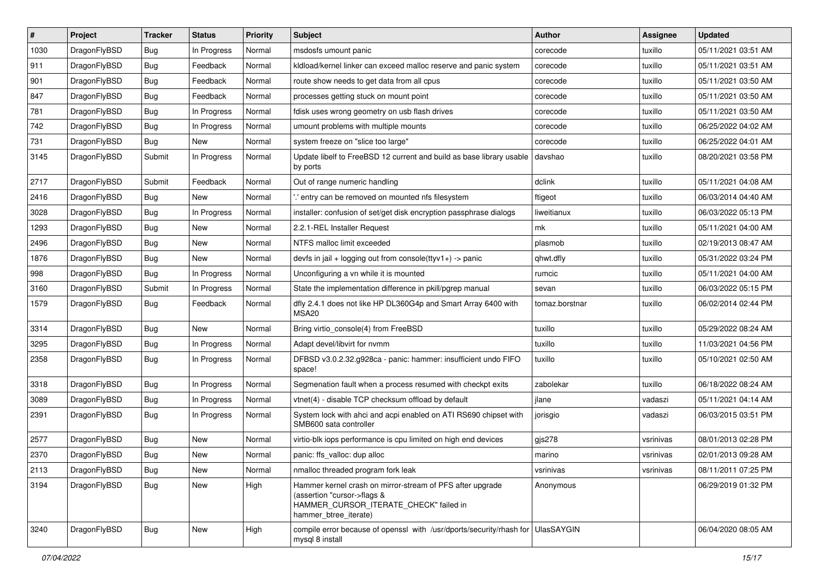| #    | Project      | <b>Tracker</b> | <b>Status</b> | <b>Priority</b> | Subject                                                                                                                                                     | <b>Author</b>     | Assignee  | <b>Updated</b>      |
|------|--------------|----------------|---------------|-----------------|-------------------------------------------------------------------------------------------------------------------------------------------------------------|-------------------|-----------|---------------------|
| 1030 | DragonFlyBSD | <b>Bug</b>     | In Progress   | Normal          | msdosfs umount panic                                                                                                                                        | corecode          | tuxillo   | 05/11/2021 03:51 AM |
| 911  | DragonFlyBSD | <b>Bug</b>     | Feedback      | Normal          | kldload/kernel linker can exceed malloc reserve and panic system                                                                                            | corecode          | tuxillo   | 05/11/2021 03:51 AM |
| 901  | DragonFlyBSD | <b>Bug</b>     | Feedback      | Normal          | route show needs to get data from all cpus                                                                                                                  | corecode          | tuxillo   | 05/11/2021 03:50 AM |
| 847  | DragonFlyBSD | <b>Bug</b>     | Feedback      | Normal          | processes getting stuck on mount point                                                                                                                      | corecode          | tuxillo   | 05/11/2021 03:50 AM |
| 781  | DragonFlyBSD | <b>Bug</b>     | In Progress   | Normal          | fdisk uses wrong geometry on usb flash drives                                                                                                               | corecode          | tuxillo   | 05/11/2021 03:50 AM |
| 742  | DragonFlyBSD | <b>Bug</b>     | In Progress   | Normal          | umount problems with multiple mounts                                                                                                                        | corecode          | tuxillo   | 06/25/2022 04:02 AM |
| 731  | DragonFlyBSD | <b>Bug</b>     | New           | Normal          | system freeze on "slice too large"                                                                                                                          | corecode          | tuxillo   | 06/25/2022 04:01 AM |
| 3145 | DragonFlyBSD | Submit         | In Progress   | Normal          | Update libelf to FreeBSD 12 current and build as base library usable<br>by ports                                                                            | davshao           | tuxillo   | 08/20/2021 03:58 PM |
| 2717 | DragonFlyBSD | Submit         | Feedback      | Normal          | Out of range numeric handling                                                                                                                               | dclink            | tuxillo   | 05/11/2021 04:08 AM |
| 2416 | DragonFlyBSD | <b>Bug</b>     | New           | Normal          | ".' entry can be removed on mounted nfs filesystem                                                                                                          | ftigeot           | tuxillo   | 06/03/2014 04:40 AM |
| 3028 | DragonFlyBSD | <b>Bug</b>     | In Progress   | Normal          | installer: confusion of set/get disk encryption passphrase dialogs                                                                                          | liweitianux       | tuxillo   | 06/03/2022 05:13 PM |
| 1293 | DragonFlyBSD | <b>Bug</b>     | New           | Normal          | 2.2.1-REL Installer Request                                                                                                                                 | mk                | tuxillo   | 05/11/2021 04:00 AM |
| 2496 | DragonFlyBSD | <b>Bug</b>     | New           | Normal          | NTFS malloc limit exceeded                                                                                                                                  | plasmob           | tuxillo   | 02/19/2013 08:47 AM |
| 1876 | DragonFlyBSD | <b>Bug</b>     | New           | Normal          | devfs in jail + logging out from console(ttyv1+) -> panic                                                                                                   | qhwt.dfly         | tuxillo   | 05/31/2022 03:24 PM |
| 998  | DragonFlyBSD | <b>Bug</b>     | In Progress   | Normal          | Unconfiguring a vn while it is mounted                                                                                                                      | rumcic            | tuxillo   | 05/11/2021 04:00 AM |
| 3160 | DragonFlyBSD | Submit         | In Progress   | Normal          | State the implementation difference in pkill/pgrep manual                                                                                                   | sevan             | tuxillo   | 06/03/2022 05:15 PM |
| 1579 | DragonFlyBSD | <b>Bug</b>     | Feedback      | Normal          | dfly 2.4.1 does not like HP DL360G4p and Smart Array 6400 with<br>MSA <sub>20</sub>                                                                         | tomaz.borstnar    | tuxillo   | 06/02/2014 02:44 PM |
| 3314 | DragonFlyBSD | <b>Bug</b>     | <b>New</b>    | Normal          | Bring virtio_console(4) from FreeBSD                                                                                                                        | tuxillo           | tuxillo   | 05/29/2022 08:24 AM |
| 3295 | DragonFlyBSD | <b>Bug</b>     | In Progress   | Normal          | Adapt devel/libvirt for nvmm                                                                                                                                | tuxillo           | tuxillo   | 11/03/2021 04:56 PM |
| 2358 | DragonFlyBSD | Bug            | In Progress   | Normal          | DFBSD v3.0.2.32.g928ca - panic: hammer: insufficient undo FIFO<br>space!                                                                                    | tuxillo           | tuxillo   | 05/10/2021 02:50 AM |
| 3318 | DragonFlyBSD | Bug            | In Progress   | Normal          | Segmenation fault when a process resumed with checkpt exits                                                                                                 | zabolekar         | tuxillo   | 06/18/2022 08:24 AM |
| 3089 | DragonFlyBSD | <b>Bug</b>     | In Progress   | Normal          | vtnet(4) - disable TCP checksum offload by default                                                                                                          | jlane             | vadaszi   | 05/11/2021 04:14 AM |
| 2391 | DragonFlyBSD | Bug            | In Progress   | Normal          | System lock with ahci and acpi enabled on ATI RS690 chipset with<br>SMB600 sata controller                                                                  | jorisgio          | vadaszi   | 06/03/2015 03:51 PM |
| 2577 | DragonFlyBSD | Bug            | New           | Normal          | virtio-blk iops performance is cpu limited on high end devices                                                                                              | $g$ js278         | vsrinivas | 08/01/2013 02:28 PM |
| 2370 | DragonFlyBSD | Bug            | New           | Normal          | panic: ffs_valloc: dup alloc                                                                                                                                | marino            | vsrinivas | 02/01/2013 09:28 AM |
| 2113 | DragonFlyBSD | <b>Bug</b>     | New           | Normal          | nmalloc threaded program fork leak                                                                                                                          | vsrinivas         | vsrinivas | 08/11/2011 07:25 PM |
| 3194 | DragonFlyBSD | Bug            | New           | High            | Hammer kernel crash on mirror-stream of PFS after upgrade<br>(assertion "cursor->flags &<br>HAMMER_CURSOR_ITERATE_CHECK" failed in<br>hammer_btree_iterate) | Anonymous         |           | 06/29/2019 01:32 PM |
| 3240 | DragonFlyBSD | Bug            | New           | High            | compile error because of openssl with /usr/dports/security/rhash for<br>mysql 8 install                                                                     | <b>UlasSAYGIN</b> |           | 06/04/2020 08:05 AM |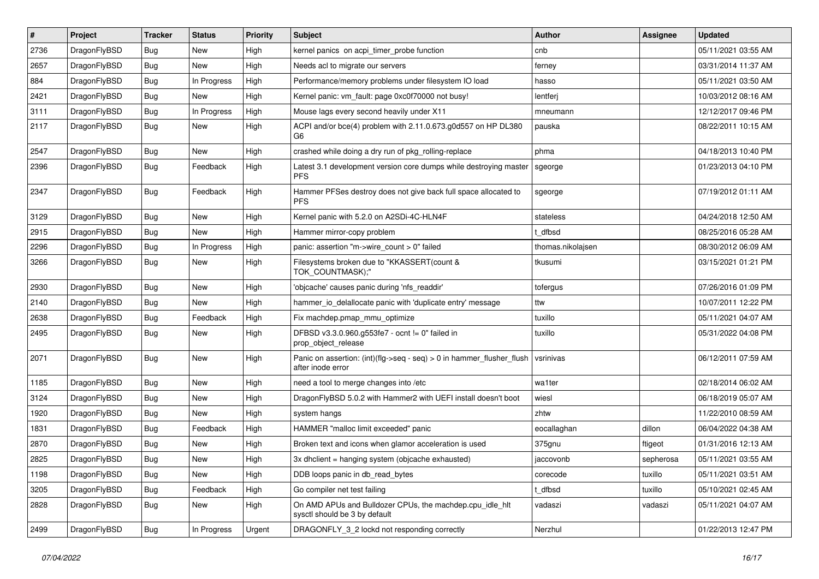| #    | Project      | <b>Tracker</b> | <b>Status</b> | <b>Priority</b> | Subject                                                                                                                      | <b>Author</b>     | Assignee  | <b>Updated</b>      |
|------|--------------|----------------|---------------|-----------------|------------------------------------------------------------------------------------------------------------------------------|-------------------|-----------|---------------------|
| 2736 | DragonFlyBSD | <b>Bug</b>     | <b>New</b>    | High            | kernel panics on acpi_timer_probe function                                                                                   | cnb               |           | 05/11/2021 03:55 AM |
| 2657 | DragonFlyBSD | <b>Bug</b>     | New           | High            | Needs acl to migrate our servers                                                                                             | ferney            |           | 03/31/2014 11:37 AM |
| 884  | DragonFlyBSD | <b>Bug</b>     | In Progress   | High            | Performance/memory problems under filesystem IO load                                                                         | hasso             |           | 05/11/2021 03:50 AM |
| 2421 | DragonFlyBSD | Bug            | <b>New</b>    | High            | Kernel panic: vm_fault: page 0xc0f70000 not busy!                                                                            | lentferj          |           | 10/03/2012 08:16 AM |
| 3111 | DragonFlyBSD | Bug            | In Progress   | High            | Mouse lags every second heavily under X11                                                                                    | mneumann          |           | 12/12/2017 09:46 PM |
| 2117 | DragonFlyBSD | Bug            | New           | High            | ACPI and/or bce(4) problem with 2.11.0.673.g0d557 on HP DL380<br>G6                                                          | pauska            |           | 08/22/2011 10:15 AM |
| 2547 | DragonFlyBSD | <b>Bug</b>     | New           | High            | crashed while doing a dry run of pkg rolling-replace                                                                         | phma              |           | 04/18/2013 10:40 PM |
| 2396 | DragonFlyBSD | Bug            | Feedback      | High            | Latest 3.1 development version core dumps while destroying master<br><b>PFS</b>                                              | sgeorge           |           | 01/23/2013 04:10 PM |
| 2347 | DragonFlyBSD | Bug            | Feedback      | High            | Hammer PFSes destroy does not give back full space allocated to<br><b>PFS</b>                                                | sgeorge           |           | 07/19/2012 01:11 AM |
| 3129 | DragonFlyBSD | <b>Bug</b>     | <b>New</b>    | High            | Kernel panic with 5.2.0 on A2SDi-4C-HLN4F                                                                                    | stateless         |           | 04/24/2018 12:50 AM |
| 2915 | DragonFlyBSD | <b>Bug</b>     | New           | High            | Hammer mirror-copy problem                                                                                                   | t dfbsd           |           | 08/25/2016 05:28 AM |
| 2296 | DragonFlyBSD | <b>Bug</b>     | In Progress   | High            | panic: assertion "m->wire_count > 0" failed                                                                                  | thomas.nikolajsen |           | 08/30/2012 06:09 AM |
| 3266 | DragonFlyBSD | Bug            | New           | High            | Filesystems broken due to "KKASSERT(count &<br>TOK COUNTMASK);"                                                              | tkusumi           |           | 03/15/2021 01:21 PM |
| 2930 | DragonFlyBSD | <b>Bug</b>     | <b>New</b>    | High            | 'objcache' causes panic during 'nfs_readdir'                                                                                 | tofergus          |           | 07/26/2016 01:09 PM |
| 2140 | DragonFlyBSD | <b>Bug</b>     | New           | High            | hammer io delallocate panic with 'duplicate entry' message                                                                   | ttw               |           | 10/07/2011 12:22 PM |
| 2638 | DragonFlyBSD | <b>Bug</b>     | Feedback      | High            | Fix machdep.pmap_mmu_optimize                                                                                                | tuxillo           |           | 05/11/2021 04:07 AM |
| 2495 | DragonFlyBSD | <b>Bug</b>     | New           | High            | DFBSD v3.3.0.960.g553fe7 - ocnt != 0" failed in<br>prop_object_release                                                       | tuxillo           |           | 05/31/2022 04:08 PM |
| 2071 | DragonFlyBSD | Bug            | New           | High            | Panic on assertion: $(int)(\text{flg}\text{-}\text{seq}\text{-}\text{seq})$ > 0 in hammer_flusher_flush<br>after inode error | vsrinivas         |           | 06/12/2011 07:59 AM |
| 1185 | DragonFlyBSD | <b>Bug</b>     | New           | High            | need a tool to merge changes into /etc                                                                                       | wa1ter            |           | 02/18/2014 06:02 AM |
| 3124 | DragonFlyBSD | <b>Bug</b>     | <b>New</b>    | High            | DragonFlyBSD 5.0.2 with Hammer2 with UEFI install doesn't boot                                                               | wiesl             |           | 06/18/2019 05:07 AM |
| 1920 | DragonFlyBSD | <b>Bug</b>     | New           | High            | system hangs                                                                                                                 | zhtw              |           | 11/22/2010 08:59 AM |
| 1831 | DragonFlyBSD | Bug            | Feedback      | High            | HAMMER "malloc limit exceeded" panic                                                                                         | eocallaghan       | dillon    | 06/04/2022 04:38 AM |
| 2870 | DragonFlyBSD | <b>Bug</b>     | New           | High            | Broken text and icons when glamor acceleration is used                                                                       | 375gnu            | ftigeot   | 01/31/2016 12:13 AM |
| 2825 | DragonFlyBSD | Bug            | <b>New</b>    | High            | 3x dholient = hanging system (objoache exhausted)                                                                            | jaccovonb         | sepherosa | 05/11/2021 03:55 AM |
| 1198 | DragonFlyBSD | Bug            | New           | High            | DDB loops panic in db read bytes                                                                                             | corecode          | tuxillo   | 05/11/2021 03:51 AM |
| 3205 | DragonFlyBSD | <b>Bug</b>     | Feedback      | High            | Go compiler net test failing                                                                                                 | t_dfbsd           | tuxillo   | 05/10/2021 02:45 AM |
| 2828 | DragonFlyBSD | <b>Bug</b>     | New           | High            | On AMD APUs and Bulldozer CPUs, the machdep.cpu_idle_hlt<br>sysctl should be 3 by default                                    | vadaszi           | vadaszi   | 05/11/2021 04:07 AM |
| 2499 | DragonFlyBSD | Bug            | In Progress   | Urgent          | DRAGONFLY 3 2 lockd not responding correctly                                                                                 | Nerzhul           |           | 01/22/2013 12:47 PM |